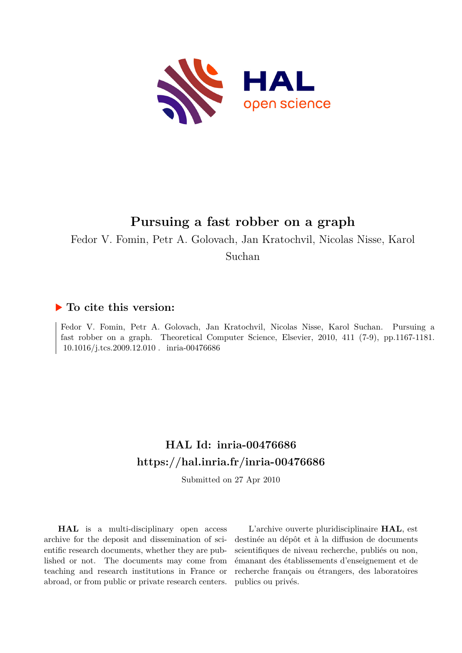

# **Pursuing a fast robber on a graph**

Fedor V. Fomin, Petr A. Golovach, Jan Kratochvil, Nicolas Nisse, Karol

Suchan

## **To cite this version:**

Fedor V. Fomin, Petr A. Golovach, Jan Kratochvil, Nicolas Nisse, Karol Suchan. Pursuing a fast robber on a graph. Theoretical Computer Science, Elsevier, 2010, 411 (7-9), pp.1167-1181.  $10.1016/j.tcs.2009.12.010$ . inria-00476686

# **HAL Id: inria-00476686 <https://hal.inria.fr/inria-00476686>**

Submitted on 27 Apr 2010

**HAL** is a multi-disciplinary open access archive for the deposit and dissemination of scientific research documents, whether they are published or not. The documents may come from teaching and research institutions in France or abroad, or from public or private research centers.

L'archive ouverte pluridisciplinaire **HAL**, est destinée au dépôt et à la diffusion de documents scientifiques de niveau recherche, publiés ou non, émanant des établissements d'enseignement et de recherche français ou étrangers, des laboratoires publics ou privés.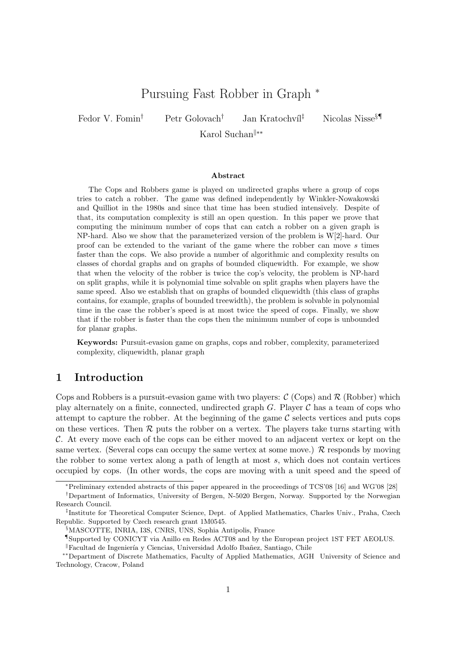## Pursuing Fast Robber in Graph <sup>∗</sup>

Fedor V. Fomin<sup>†</sup> Petr Golovach<sup>†</sup> Jan Kratochvíl<sup>‡</sup> Nicolas Nisse<sup>§¶</sup>

Karol Suchan<sup>||∗∗</sup>

#### Abstract

The Cops and Robbers game is played on undirected graphs where a group of cops tries to catch a robber. The game was defined independently by Winkler-Nowakowski and Quilliot in the 1980s and since that time has been studied intensively. Despite of that, its computation complexity is still an open question. In this paper we prove that computing the minimum number of cops that can catch a robber on a given graph is NP-hard. Also we show that the parameterized version of the problem is W[2]-hard. Our proof can be extended to the variant of the game where the robber can move s times faster than the cops. We also provide a number of algorithmic and complexity results on classes of chordal graphs and on graphs of bounded cliquewidth. For example, we show that when the velocity of the robber is twice the cop's velocity, the problem is NP-hard on split graphs, while it is polynomial time solvable on split graphs when players have the same speed. Also we establish that on graphs of bounded cliquewidth (this class of graphs contains, for example, graphs of bounded treewidth), the problem is solvable in polynomial time in the case the robber's speed is at most twice the speed of cops. Finally, we show that if the robber is faster than the cops then the minimum number of cops is unbounded for planar graphs.

Keywords: Pursuit-evasion game on graphs, cops and robber, complexity, parameterized complexity, cliquewidth, planar graph

## 1 Introduction

Cops and Robbers is a pursuit-evasion game with two players:  $\mathcal{C}$  (Cops) and  $\mathcal{R}$  (Robber) which play alternately on a finite, connected, undirected graph  $G$ . Player  $\mathcal C$  has a team of cops who attempt to capture the robber. At the beginning of the game  $\mathcal C$  selects vertices and puts cops on these vertices. Then  $\mathcal R$  puts the robber on a vertex. The players take turns starting with  $\mathcal{C}$ . At every move each of the cops can be either moved to an adjacent vertex or kept on the same vertex. (Several cops can occupy the same vertex at some move.)  $\mathcal{R}$  responds by moving the robber to some vertex along a path of length at most s, which does not contain vertices occupied by cops. (In other words, the cops are moving with a unit speed and the speed of

<sup>∗</sup>Preliminary extended abstracts of this paper appeared in the proceedings of TCS'08 [16] and WG'08 [28] †Department of Informatics, University of Bergen, N-5020 Bergen, Norway. Supported by the Norwegian Research Council.

<sup>‡</sup> Institute for Theoretical Computer Science, Dept. of Applied Mathematics, Charles Univ., Praha, Czech Republic. Supported by Czech research grant 1M0545.

<sup>§</sup>MASCOTTE, INRIA, I3S, CNRS, UNS, Sophia Antipolis, France

<sup>¶</sup>Supported by CONICYT via Anillo en Redes ACT08 and by the European project 1ST FET AEOLUS.

<sup>&</sup>lt;sup>||</sup>Facultad de Ingeniería y Ciencias, Universidad Adolfo Ibañez, Santiago, Chile

<sup>∗∗</sup>Department of Discrete Mathematics, Faculty of Applied Mathematics, AGH University of Science and Technology, Cracow, Poland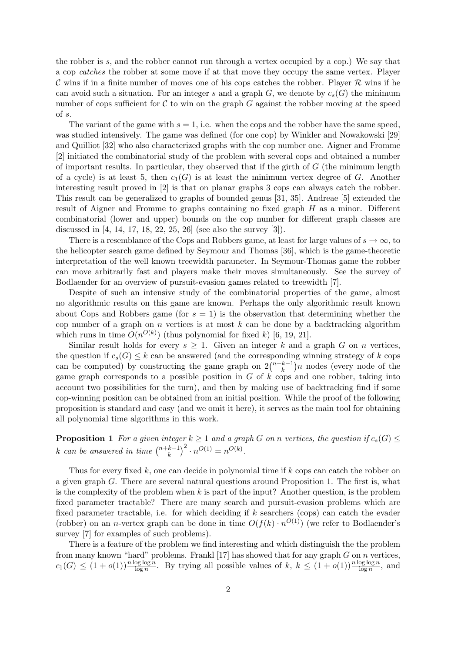the robber is s, and the robber cannot run through a vertex occupied by a cop.) We say that a cop catches the robber at some move if at that move they occupy the same vertex. Player C wins if in a finite number of moves one of his cops catches the robber. Player  $\mathcal R$  wins if he can avoid such a situation. For an integer s and a graph G, we denote by  $c_s(G)$  the minimum number of cops sufficient for  $\mathcal C$  to win on the graph  $G$  against the robber moving at the speed of s.

The variant of the game with  $s = 1$ , i.e. when the cops and the robber have the same speed, was studied intensively. The game was defined (for one cop) by Winkler and Nowakowski [29] and Quilliot [32] who also characterized graphs with the cop number one. Aigner and Fromme [2] initiated the combinatorial study of the problem with several cops and obtained a number of important results. In particular, they observed that if the girth of  $G$  (the minimum length of a cycle) is at least 5, then  $c_1(G)$  is at least the minimum vertex degree of G. Another interesting result proved in [2] is that on planar graphs 3 cops can always catch the robber. This result can be generalized to graphs of bounded genus [31, 35]. Andreae [5] extended the result of Aigner and Fromme to graphs containing no fixed graph H as a minor. Different combinatorial (lower and upper) bounds on the cop number for different graph classes are discussed in [4, 14, 17, 18, 22, 25, 26] (see also the survey [3]).

There is a resemblance of the Cops and Robbers game, at least for large values of  $s \to \infty$ , to the helicopter search game defined by Seymour and Thomas [36], which is the game-theoretic interpretation of the well known treewidth parameter. In Seymour-Thomas game the robber can move arbitrarily fast and players make their moves simultaneously. See the survey of Bodlaender for an overview of pursuit-evasion games related to treewidth [7].

Despite of such an intensive study of the combinatorial properties of the game, almost no algorithmic results on this game are known. Perhaps the only algorithmic result known about Cops and Robbers game (for  $s = 1$ ) is the observation that determining whether the cop number of a graph on n vertices is at most  $k$  can be done by a backtracking algorithm which runs in time  $O(n^{O(k)})$  (thus polynomial for fixed k) [6, 19, 21].

Similar result holds for every  $s > 1$ . Given an integer k and a graph G on n vertices, the question if  $c_s(G) \leq k$  can be answered (and the corresponding winning strategy of k cops can be computed) by constructing the game graph on  $2\binom{n+k-1}{k}$  $\binom{k-1}{k}$ n nodes (every node of the game graph corresponds to a possible position in  $G$  of  $k$  cops and one robber, taking into account two possibilities for the turn), and then by making use of backtracking find if some cop-winning position can be obtained from an initial position. While the proof of the following proposition is standard and easy (and we omit it here), it serves as the main tool for obtaining all polynomial time algorithms in this work.

**Proposition 1** For a given integer  $k \geq 1$  and a graph G on n vertices, the question if  $c_s(G) \leq$ k can be answered in time  $\binom{n+k-1}{k}$  ${k-1 \choose k}^2 \cdot n^{O(1)} = n^{O(k)}.$ 

Thus for every fixed  $k$ , one can decide in polynomial time if  $k$  cops can catch the robber on a given graph G. There are several natural questions around Proposition 1. The first is, what is the complexity of the problem when  $k$  is part of the input? Another question, is the problem fixed parameter tractable? There are many search and pursuit-evasion problems which are fixed parameter tractable, i.e. for which deciding if k searchers (cops) can catch the evader (robber) on an *n*-vertex graph can be done in time  $O(f(k) \cdot n^{O(1)})$  (we refer to Bodlaender's survey [7] for examples of such problems).

There is a feature of the problem we find interesting and which distinguish the the problem from many known "hard" problems. Frankl [17] has showed that for any graph  $G$  on  $n$  vertices,  $c_1(G) \leq (1+o(1))\frac{n\log\log n}{\log n}$ . By trying all possible values of  $k, k \leq (1+o(1))\frac{n\log\log n}{\log n}$ , and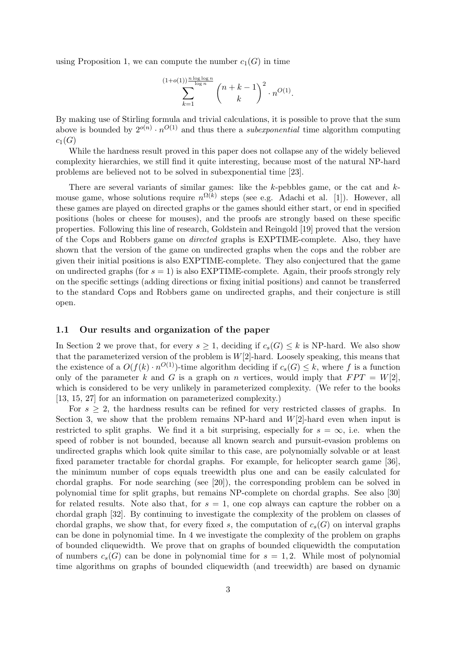using Proposition 1, we can compute the number  $c_1(G)$  in time

$$
\sum_{k=1}^{(1+o(1))\frac{n\log\log n}{\log n}} \binom{n+k-1}{k}^2 \cdot n^{O(1)}.
$$

By making use of Stirling formula and trivial calculations, it is possible to prove that the sum above is bounded by  $2^{o(n)} \cdot n^{O(1)}$  and thus there a *subexponential* time algorithm computing  $c_1(G)$ 

While the hardness result proved in this paper does not collapse any of the widely believed complexity hierarchies, we still find it quite interesting, because most of the natural NP-hard problems are believed not to be solved in subexponential time [23].

There are several variants of similar games: like the  $k$ -pebbles game, or the cat and  $k$ mouse game, whose solutions require  $n^{\Omega(k)}$  steps (see e.g. Adachi et al. [1]). However, all these games are played on directed graphs or the games should either start, or end in specified positions (holes or cheese for mouses), and the proofs are strongly based on these specific properties. Following this line of research, Goldstein and Reingold [19] proved that the version of the Cops and Robbers game on directed graphs is EXPTIME-complete. Also, they have shown that the version of the game on undirected graphs when the cops and the robber are given their initial positions is also EXPTIME-complete. They also conjectured that the game on undirected graphs (for  $s = 1$ ) is also EXPTIME-complete. Again, their proofs strongly rely on the specific settings (adding directions or fixing initial positions) and cannot be transferred to the standard Cops and Robbers game on undirected graphs, and their conjecture is still open.

#### 1.1 Our results and organization of the paper

In Section 2 we prove that, for every  $s \geq 1$ , deciding if  $c_s(G) \leq k$  is NP-hard. We also show that the parameterized version of the problem is  $W[2]$ -hard. Loosely speaking, this means that the existence of a  $O(f(k) \cdot n^{O(1)})$ -time algorithm deciding if  $c_s(G) \leq k$ , where f is a function only of the parameter k and G is a graph on n vertices, would imply that  $FPT = W[2]$ . which is considered to be very unlikely in parameterized complexity. (We refer to the books [13, 15, 27] for an information on parameterized complexity.)

For  $s \geq 2$ , the hardness results can be refined for very restricted classes of graphs. In Section 3, we show that the problem remains NP-hard and  $W[2]$ -hard even when input is restricted to split graphs. We find it a bit surprising, especially for  $s = \infty$ , i.e. when the speed of robber is not bounded, because all known search and pursuit-evasion problems on undirected graphs which look quite similar to this case, are polynomially solvable or at least fixed parameter tractable for chordal graphs. For example, for helicopter search game [36], the minimum number of cops equals treewidth plus one and can be easily calculated for chordal graphs. For node searching (see [20]), the corresponding problem can be solved in polynomial time for split graphs, but remains NP-complete on chordal graphs. See also [30] for related results. Note also that, for  $s = 1$ , one cop always can capture the robber on a chordal graph [32]. By continuing to investigate the complexity of the problem on classes of chordal graphs, we show that, for every fixed s, the computation of  $c_s(G)$  on interval graphs can be done in polynomial time. In 4 we investigate the complexity of the problem on graphs of bounded cliquewidth. We prove that on graphs of bounded cliquewidth the computation of numbers  $c_s(G)$  can be done in polynomial time for  $s = 1, 2$ . While most of polynomial time algorithms on graphs of bounded cliquewidth (and treewidth) are based on dynamic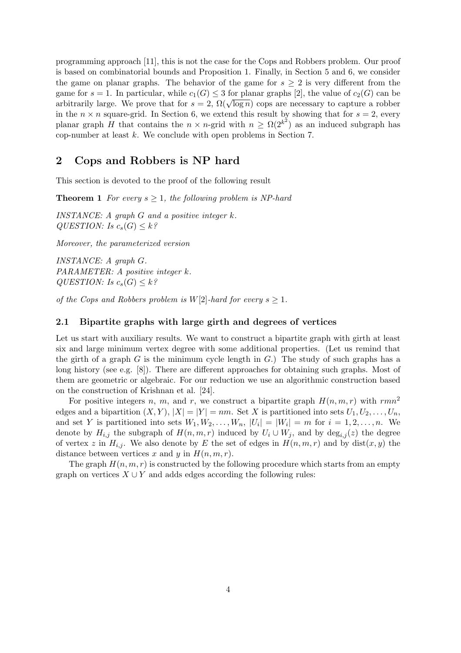programming approach [11], this is not the case for the Cops and Robbers problem. Our proof is based on combinatorial bounds and Proposition 1. Finally, in Section 5 and 6, we consider the game on planar graphs. The behavior of the game for  $s \geq 2$  is very different from the game for  $s = 1$ . In particular, while  $c_1(G) \leq 3$  for planar graphs [2], the value of  $c_2(G)$  can be arbitrarily large. We prove that for  $s = 2$ ,  $\Omega(\sqrt{\log n})$  cops are necessary to capture a robber in the  $n \times n$  square-grid. In Section 6, we extend this result by showing that for  $s = 2$ , every planar graph H that contains the  $n \times n$ -grid with  $n \geq \Omega(2^{k^2})$  as an induced subgraph has cop-number at least k. We conclude with open problems in Section 7.

## 2 Cops and Robbers is NP hard

This section is devoted to the proof of the following result

**Theorem 1** For every  $s > 1$ , the following problem is NP-hard

INSTANCE: A graph  $G$  and a positive integer  $k$ . QUESTION: Is  $c_s(G) \leq k$ ?

Moreover, the parameterized version

INSTANCE: A graph G. PARAMETER: A positive integer k. QUESTION: Is  $c_s(G) \leq k$ ?

of the Cops and Robbers problem is  $W[2]$ -hard for every  $s \geq 1$ .

### 2.1 Bipartite graphs with large girth and degrees of vertices

Let us start with auxiliary results. We want to construct a bipartite graph with girth at least six and large minimum vertex degree with some additional properties. (Let us remind that the girth of a graph  $G$  is the minimum cycle length in  $G$ .) The study of such graphs has a long history (see e.g. [8]). There are different approaches for obtaining such graphs. Most of them are geometric or algebraic. For our reduction we use an algorithmic construction based on the construction of Krishnan et al. [24].

For positive integers n, m, and r, we construct a bipartite graph  $H(n, m, r)$  with rmn<sup>2</sup> edges and a bipartition  $(X, Y), |X| = |Y| = nm$ . Set X is partitioned into sets  $U_1, U_2, \ldots, U_n$ , and set Y is partitioned into sets  $W_1, W_2, \ldots, W_n$ ,  $|U_i| = |W_i| = m$  for  $i = 1, 2, \ldots, n$ . We denote by  $H_{i,j}$  the subgraph of  $H(n, m, r)$  induced by  $U_i \cup W_j$ , and by  $\deg_{i,j}(z)$  the degree of vertex z in  $H_{i,j}$ . We also denote by E the set of edges in  $H(n, m, r)$  and by dist $(x, y)$  the distance between vertices x and y in  $H(n, m, r)$ .

The graph  $H(n, m, r)$  is constructed by the following procedure which starts from an empty graph on vertices  $X \cup Y$  and adds edges according the following rules: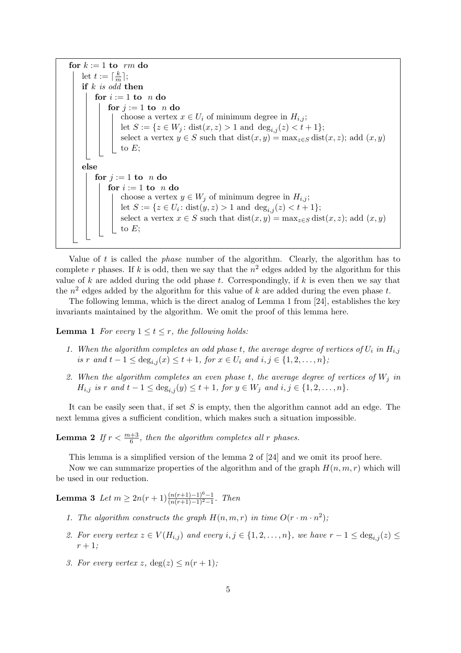for  $k := 1$  to rm do let  $t := \lceil \frac{k}{m} \rceil$  $\frac{k}{m}$ ]; if  $k$  is odd then for  $i := 1$  to  $n$  do for  $j := 1$  to n do choose a vertex  $x \in U_i$  of minimum degree in  $H_{i,j}$ ; let  $S := \{z \in W_j : dist(x, z) > 1 \text{ and } deg_{i,j}(z) < t+1\};$ select a vertex  $y \in S$  such that  $dist(x, y) = \max_{z \in S} dist(x, z)$ ; add  $(x, y)$ to  $E$ ; else for  $j := 1$  to n do for  $i := 1$  to n do choose a vertex  $y \in W_j$  of minimum degree in  $H_{i,j}$ ; let  $S := \{ z \in U_i : \text{dist}(y, z) > 1 \text{ and } \text{deg}_{i,j}(z) < t + 1 \};$ select a vertex  $x \in S$  such that  $dist(x, y) = \max_{z \in S} dist(x, z)$ ; add  $(x, y)$ to  $E$ :

Value of  $t$  is called the *phase* number of the algorithm. Clearly, the algorithm has to complete r phases. If k is odd, then we say that the  $n^2$  edges added by the algorithm for this value of k are added during the odd phase t. Correspondingly, if  $k$  is even then we say that the  $n^2$  edges added by the algorithm for this value of k are added during the even phase t.

The following lemma, which is the direct analog of Lemma 1 from [24], establishes the key invariants maintained by the algorithm. We omit the proof of this lemma here.

**Lemma 1** For every  $1 \le t \le r$ , the following holds:

- 1. When the algorithm completes an odd phase t, the average degree of vertices of  $U_i$  in  $H_{i,j}$ is r and  $t - 1 \le \deg_{i,j}(x) \le t + 1$ , for  $x \in U_i$  and  $i, j \in \{1, 2, ..., n\}$ ;
- 2. When the algorithm completes an even phase t, the average degree of vertices of  $W_i$  in  $H_{i,j}$  is r and  $t-1 \le \deg_{i,j}(y) \le t+1$ , for  $y \in W_j$  and  $i, j \in \{1, 2, ..., n\}$ .

It can be easily seen that, if set  $S$  is empty, then the algorithm cannot add an edge. The next lemma gives a sufficient condition, which makes such a situation impossible.

**Lemma 2** If  $r < \frac{m+3}{6}$ , then the algorithm completes all r phases.

This lemma is a simplified version of the lemma 2 of [24] and we omit its proof here.

Now we can summarize properties of the algorithm and of the graph  $H(n, m, r)$  which will be used in our reduction.

Lemma 3 Let  $m \geq 2n(r+1)\frac{(n(r+1)-1)^6-1}{(n(r+1)-1)^2-1}$ . Then

- 1. The algorithm constructs the graph  $H(n, m, r)$  in time  $O(r \cdot m \cdot n^2)$ ;
- 2. For every vertex  $z \in V(H_{i,j})$  and every  $i, j \in \{1, 2, ..., n\}$ , we have  $r 1 \leq \deg_{i,j}(z) \leq \deg_{i,j}(z)$  $r+1;$
- 3. For every vertex z,  $deg(z) \leq n(r+1)$ ;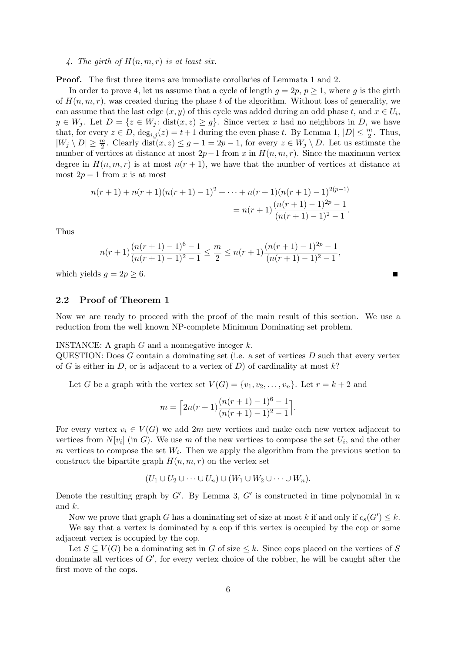#### 4. The girth of  $H(n, m, r)$  is at least six.

Proof. The first three items are immediate corollaries of Lemmata 1 and 2.

In order to prove 4, let us assume that a cycle of length  $q = 2p$ ,  $p \ge 1$ , where q is the girth of  $H(n, m, r)$ , was created during the phase t of the algorithm. Without loss of generality, we can assume that the last edge  $(x, y)$  of this cycle was added during an odd phase t, and  $x \in U_i$ ,  $y \in W_j$ . Let  $D = \{z \in W_j : dist(x, z) \ge g\}$ . Since vertex x had no neighbors in D, we have that, for every  $z \in D$ ,  $\deg_{i,j}(z) = t+1$  during the even phase t. By Lemma 1,  $|D| \leq \frac{m}{2}$ . Thus,  $|W_j \setminus D| \geq \frac{m}{2}$ . Clearly dist $(x, z) \leq g - 1 = 2p - 1$ , for every  $z \in W_j \setminus D$ . Let us estimate the number of vertices at distance at most  $2p-1$  from x in  $H(n, m, r)$ . Since the maximum vertex degree in  $H(n, m, r)$  is at most  $n(r + 1)$ , we have that the number of vertices at distance at most  $2p - 1$  from x is at most

$$
n(r+1) + n(r+1)(n(r+1) - 1)^2 + \dots + n(r+1)(n(r+1) - 1)^{2(p-1)}
$$
  
= 
$$
n(r+1)\frac{(n(r+1) - 1)^{2p} - 1}{(n(r+1) - 1)^2 - 1}.
$$

Thus

$$
n(r+1)\frac{(n(r+1)-1)^6-1}{(n(r+1)-1)^2-1} \leq \frac{m}{2} \leq n(r+1)\frac{(n(r+1)-1)^{2p}-1}{(n(r+1)-1)^2-1},
$$

which yields  $q = 2p \geq 6$ .

#### 2.2 Proof of Theorem 1

Now we are ready to proceed with the proof of the main result of this section. We use a reduction from the well known NP-complete Minimum Dominating set problem.

#### INSTANCE: A graph  $G$  and a nonnegative integer  $k$ .

 $\text{QUESTION: Does } G \text{ contain a dominating set (i.e. a set of vertices } D \text{ such that every vertex } G \text{ is a set of vertices } D \text{ such that every vertex } G \text{ is a set of vertices } D \text{ such that every vertex } G \text{ is a set of vertices } D \text{ such that every vertex } G \text{ is a set of vertices } D \text{ such that every vertex } G \text{ is a set of vertices } D \text{ such that every vertex } G \text{ is a set of vertices } D \text{ such that every vertex } G \text{ is a set of vertices } D \text{ such that every vertex } G \text{ is a set of vertices } D \text{ such that every vertex } G \text{ is a set of vertices } D \text{ such that every vertex } G \text{ is a set of vertices } D \text{$ of G is either in D, or is adjacent to a vertex of D) of cardinality at most  $k$ ?

Let G be a graph with the vertex set  $V(G) = \{v_1, v_2, \ldots, v_n\}$ . Let  $r = k + 2$  and

$$
m = \left\lceil 2n(r+1)\frac{(n(r+1)-1)^6 - 1}{(n(r+1)-1)^2 - 1} \right\rceil.
$$

For every vertex  $v_i \in V(G)$  we add 2m new vertices and make each new vertex adjacent to vertices from  $N[v_i]$  (in G). We use m of the new vertices to compose the set  $U_i$ , and the other  $m$  vertices to compose the set  $W_i$ . Then we apply the algorithm from the previous section to construct the bipartite graph  $H(n, m, r)$  on the vertex set

$$
(U_1 \cup U_2 \cup \cdots \cup U_n) \cup (W_1 \cup W_2 \cup \cdots \cup W_n).
$$

Denote the resulting graph by  $G'$ . By Lemma 3,  $G'$  is constructed in time polynomial in n and k.

Now we prove that graph G has a dominating set of size at most k if and only if  $c_s(G') \leq k$ .

We say that a vertex is dominated by a cop if this vertex is occupied by the cop or some adjacent vertex is occupied by the cop.

Let  $S \subseteq V(G)$  be a dominating set in G of size  $\leq k$ . Since cops placed on the vertices of S dominate all vertices of  $G'$ , for every vertex choice of the robber, he will be caught after the first move of the cops.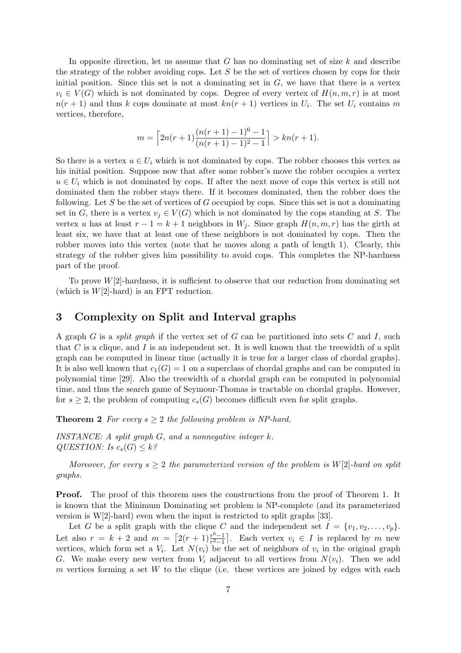In opposite direction, let us assume that  $G$  has no dominating set of size  $k$  and describe the strategy of the robber avoiding cops. Let  $S$  be the set of vertices chosen by cops for their initial position. Since this set is not a dominating set in  $G$ , we have that there is a vertex  $v_i \in V(G)$  which is not dominated by cops. Degree of every vertex of  $H(n, m, r)$  is at most  $n(r+1)$  and thus k cops dominate at most  $kn(r+1)$  vertices in  $U_i$ . The set  $U_i$  contains m vertices, therefore,

$$
m = \left\lceil 2n(r+1)\frac{(n(r+1)-1)^6 - 1}{(n(r+1)-1)^2 - 1} \right\rceil > kn(r+1).
$$

So there is a vertex  $u \in U_i$  which is not dominated by cops. The robber chooses this vertex as his initial position. Suppose now that after some robber's move the robber occupies a vertex  $u \in U_i$  which is not dominated by cops. If after the next move of cops this vertex is still not dominated then the robber stays there. If it becomes dominated, then the robber does the following. Let S be the set of vertices of G occupied by cops. Since this set is not a dominating set in G, there is a vertex  $v_i \in V(G)$  which is not dominated by the cops standing at S. The vertex u has at least  $r - 1 = k + 1$  neighbors in  $W_j$ . Since graph  $H(n, m, r)$  has the girth at least six, we have that at least one of these neighbors is not dominated by cops. Then the robber moves into this vertex (note that he moves along a path of length 1). Clearly, this strategy of the robber gives him possibility to avoid cops. This completes the NP-hardness part of the proof.

To prove  $W[2]$ -hardness, it is sufficient to observe that our reduction from dominating set (which is  $W[2]$ -hard) is an FPT reduction.

## 3 Complexity on Split and Interval graphs

A graph G is a *split graph* if the vertex set of G can be partitioned into sets C and I, such that  $C$  is a clique, and  $I$  is an independent set. It is well known that the treewidth of a split graph can be computed in linear time (actually it is true for a larger class of chordal graphs). It is also well known that  $c_1(G) = 1$  on a superclass of chordal graphs and can be computed in polynomial time [29]. Also the treewidth of a chordal graph can be computed in polynomial time, and thus the search game of Seymour-Thomas is tractable on chordal graphs. However, for  $s \geq 2$ , the problem of computing  $c_s(G)$  becomes difficult even for split graphs.

**Theorem 2** For every  $s \geq 2$  the following problem is NP-hard.

INSTANCE: A split graph  $G$ , and a nonnegative integer  $k$ . QUESTION: Is  $c_s(G) \leq k$ ?

Moreover, for every  $s \geq 2$  the parameterized version of the problem is  $W[2]$ -hard on split graphs.

Proof. The proof of this theorem uses the constructions from the proof of Theorem 1. It is known that the Minimum Dominating set problem is NP-complete (and its parameterized version is W[2]-hard) even when the input is restricted to split graphs [33].

Let G be a split graph with the clique C and the independent set  $I = \{v_1, v_2, \ldots, v_p\}.$ Let also  $r = k + 2$  and  $m = \left[2(r + 1)\frac{r^6 - 1}{r^2 - 1}\right]$  $\frac{r^0-1}{r^2-1}$ . Each vertex  $v_i \in I$  is replaced by m new vertices, which form set a  $V_i$ . Let  $N(v_i)$  be the set of neighbors of  $v_i$  in the original graph G. We make every new vertex from  $V_i$  adjacent to all vertices from  $N(v_i)$ . Then we add m vertices forming a set W to the clique (i.e. these vertices are joined by edges with each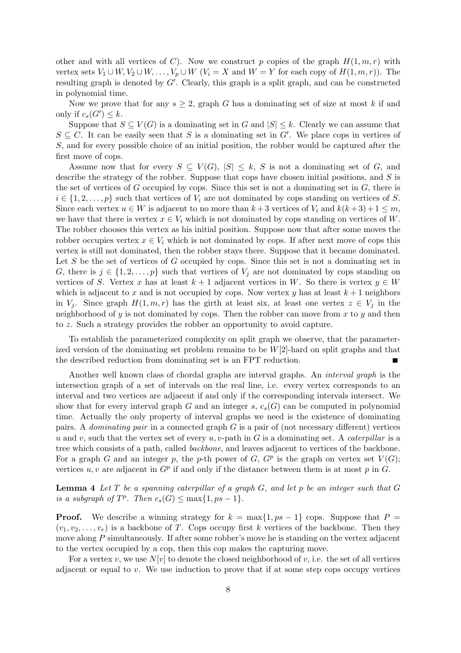other and with all vertices of C). Now we construct p copies of the graph  $H(1, m, r)$  with vertex sets  $V_1 \cup W, V_2 \cup W, \ldots, V_p \cup W$   $(V_i = X \text{ and } W = Y \text{ for each copy of } H(1, m, r)$ . The resulting graph is denoted by  $G'$ . Clearly, this graph is a split graph, and can be constructed in polynomial time.

Now we prove that for any  $s \geq 2$ , graph G has a dominating set of size at most k if and only if  $c_s(G') \leq k$ .

Suppose that  $S \subseteq V(G)$  is a dominating set in G and  $|S| \leq k$ . Clearly we can assume that  $S \subseteq C$ . It can be easily seen that S is a dominating set in G'. We place cops in vertices of S, and for every possible choice of an initial position, the robber would be captured after the first move of cops.

Assume now that for every  $S \subseteq V(G)$ ,  $|S| \leq k$ , S is not a dominating set of G, and describe the strategy of the robber. Suppose that cops have chosen initial positions, and  $S$  is the set of vertices of  $G$  occupied by cops. Since this set is not a dominating set in  $G$ , there is  $i \in \{1, 2, \ldots, p\}$  such that vertices of  $V_i$  are not dominated by cops standing on vertices of S. Since each vertex  $u \in W$  is adjacent to no more than  $k+3$  vertices of  $V_i$  and  $k(k+3)+1 \leq m$ , we have that there is vertex  $x \in V_i$  which is not dominated by cops standing on vertices of W. The robber chooses this vertex as his initial position. Suppose now that after some moves the robber occupies vertex  $x \in V_i$  which is not dominated by cops. If after next move of cops this vertex is still not dominated, then the robber stays there. Suppose that it became dominated. Let  $S$  be the set of vertices of  $G$  occupied by cops. Since this set is not a dominating set in G, there is  $j \in \{1, 2, \ldots, p\}$  such that vertices of  $V_j$  are not dominated by cops standing on vertices of S. Vertex x has at least  $k + 1$  adjacent vertices in W. So there is vertex  $y \in W$ which is adjacent to x and is not occupied by cops. Now vertex y has at least  $k + 1$  neighbors in  $V_i$ . Since graph  $H(1, m, r)$  has the girth at least six, at least one vertex  $z \in V_i$  in the neighborhood of  $y$  is not dominated by cops. Then the robber can move from  $x$  to  $y$  and then to z. Such a strategy provides the robber an opportunity to avoid capture.

To establish the parameterized complexity on split graph we observe, that the parameterized version of the dominating set problem remains to be  $W[2]$ -hard on split graphs and that the described reduction from dominating set is an FPT reduction.

Another well known class of chordal graphs are interval graphs. An interval graph is the intersection graph of a set of intervals on the real line, i.e. every vertex corresponds to an interval and two vertices are adjacent if and only if the corresponding intervals intersect. We show that for every interval graph G and an integer  $s, c_s(G)$  can be computed in polynomial time. Actually the only property of interval graphs we need is the existence of dominating pairs. A *dominating pair* in a connected graph  $G$  is a pair of (not necessary different) vertices u and v, such that the vertex set of every u, v-path in G is a dominating set. A *caterpillar* is a tree which consists of a path, called backbone, and leaves adjacent to vertices of the backbone. For a graph G and an integer p, the p-th power of  $G$ ,  $G^p$  is the graph on vertex set  $V(G)$ ; vertices  $u, v$  are adjacent in  $G<sup>p</sup>$  if and only if the distance between them is at most p in G.

**Lemma 4** Let  $T$  be a spanning caterpillar of a graph  $G$ , and let  $p$  be an integer such that  $G$ is a subgraph of  $T^p$ . Then  $c_s(G) \le \max\{1, ps - 1\}$ .

**Proof.** We describe a winning strategy for  $k = \max\{1, ps - 1\}$  cops. Suppose that  $P =$  $(v_1, v_2, \ldots, v_r)$  is a backbone of T. Cops occupy first k vertices of the backbone. Then they move along P simultaneously. If after some robber's move he is standing on the vertex adjacent to the vertex occupied by a cop, then this cop makes the capturing move.

For a vertex v, we use  $N[v]$  to denote the closed neighborhood of v, i.e. the set of all vertices adjacent or equal to v. We use induction to prove that if at some step cops occupy vertices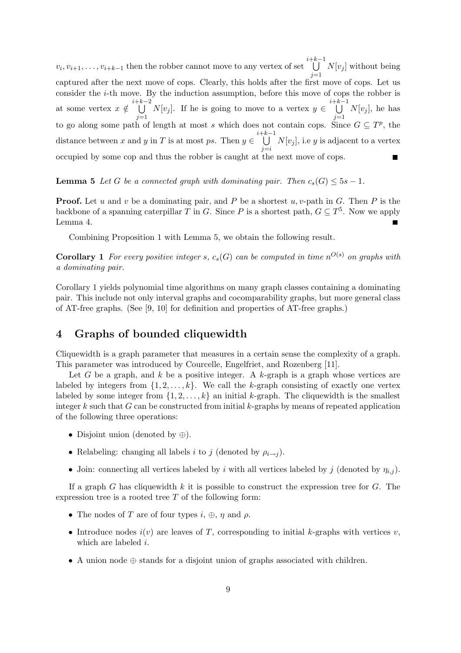$v_i, v_{i+1}, \ldots, v_{i+k-1}$  then the robber cannot move to any vertex of set i+k−1<br>∪  $j=1$  $N[v_j]$  without being captured after the next move of cops. Clearly, this holds after the first move of cops. Let us consider the i-th move. By the induction assumption, before this move of cops the robber is at some vertex  $x \notin$ i+k−2<br>∪  $\bigcup_{j=1} N[v_j]$ . If he is going to move to a vertex  $y \in$  $\bigcup^{i+k-1}$  $j=1$  $N[v_j]$ , he has to go along some path of length at most s which does not contain cops. Since  $G \subseteq T^p$ , the distance between x and y in T is at most ps. Then  $y \in \bigcup$  $\frac{i+k-1}{k}$  $j = i$  $N[v_j]$ , i.e y is adjacent to a vertex occupied by some cop and thus the robber is caught at the next move of cops.

**Lemma 5** Let G be a connected graph with dominating pair. Then  $c_s(G) \leq 5s - 1$ .

**Proof.** Let u and v be a dominating pair, and P be a shortest  $u, v$ -path in G. Then P is the backbone of a spanning caterpillar T in G. Since P is a shortest path,  $G \subseteq T^5$ . Now we apply Lemma 4.  $\blacksquare$ 

Combining Proposition 1 with Lemma 5, we obtain the following result.

**Corollary 1** For every positive integer s,  $c_s(G)$  can be computed in time  $n^{O(s)}$  on graphs with a dominating pair.

Corollary 1 yields polynomial time algorithms on many graph classes containing a dominating pair. This include not only interval graphs and cocomparability graphs, but more general class of AT-free graphs. (See [9, 10] for definition and properties of AT-free graphs.)

## 4 Graphs of bounded cliquewidth

Cliquewidth is a graph parameter that measures in a certain sense the complexity of a graph. This parameter was introduced by Courcelle, Engelfriet, and Rozenberg [11].

Let G be a graph, and k be a positive integer. A k-graph is a graph whose vertices are labeled by integers from  $\{1, 2, \ldots, k\}$ . We call the k-graph consisting of exactly one vertex labeled by some integer from  $\{1, 2, \ldots, k\}$  an initial k-graph. The cliquewidth is the smallest integer k such that  $G$  can be constructed from initial k-graphs by means of repeated application of the following three operations:

- Disjoint union (denoted by ⊕).
- Relabeling: changing all labels i to j (denoted by  $\rho_{i\rightarrow j}$ ).
- Join: connecting all vertices labeled by i with all vertices labeled by j (denoted by  $\eta_{i,j}$ ).

If a graph G has cliquewidth k it is possible to construct the expression tree for  $G$ . The expression tree is a rooted tree  $T$  of the following form:

- The nodes of T are of four types i,  $\oplus$ ,  $\eta$  and  $\rho$ .
- Introduce nodes  $i(v)$  are leaves of T, corresponding to initial k-graphs with vertices  $v$ , which are labeled i.
- A union node ⊕ stands for a disjoint union of graphs associated with children.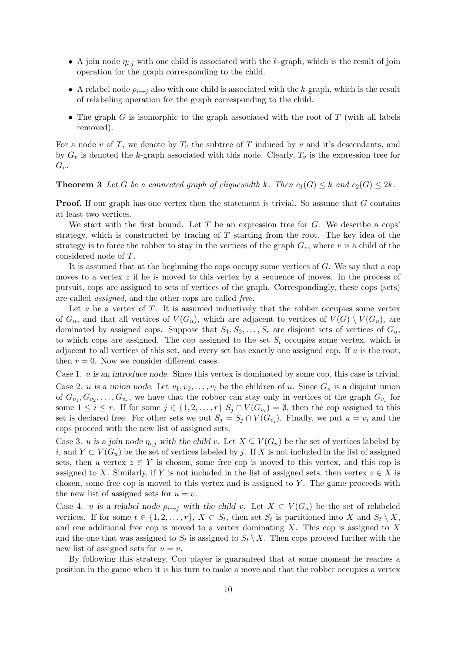- A join node  $\eta_{i,j}$  with one child is associated with the k-graph, which is the result of join operation for the graph corresponding to the child.
- A relabel node  $\rho_{i\rightarrow j}$  also with one child is associated with the k-graph, which is the result of relabeling operation for the graph corresponding to the child.
- The graph G is isomorphic to the graph associated with the root of T (with all labels removed).

For a node v of T, we denote by  $T_v$  the subtree of T induced by v and it's descendants, and by  $G_v$  is denoted the k-graph associated with this node. Clearly,  $T_v$  is the expression tree for  $G_v$ .

#### **Theorem 3** Let G be a connected graph of cliquewidth k. Then  $c_1(G) \leq k$  and  $c_2(G) \leq 2k$ .

Proof. If our graph has one vertex then the statement is trivial. So assume that G contains at least two vertices.

We start with the first bound. Let  $T$  be an expression tree for  $G$ . We describe a cops' strategy, which is constructed by tracing of  $T$  starting from the root. The key idea of the strategy is to force the robber to stay in the vertices of the graph  $G_v$ , where v is a child of the considered node of T.

It is assumed that at the beginning the cops occupy some vertices of  $G$ . We say that a cop moves to a vertex  $z$  if he is moved to this vertex by a sequence of moves. In the process of pursuit, cops are assigned to sets of vertices of the graph. Correspondingly, these cops (sets) are called assigned, and the other cops are called free.

Let  $u$  be a vertex of  $T$ . It is assumed inductively that the robber occupies some vertex of  $G_u$ , and that all vertices of  $V(G_u)$ , which are adjacent to vertices of  $V(G) \setminus V(G_u)$ , are dominated by assigned cops. Suppose that  $S_1, S_2, \ldots, S_r$  are disjoint sets of vertices of  $G_u$ , to which cops are assigned. The cop assigned to the set  $S_i$  occupies some vertex, which is adjacent to all vertices of this set, and every set has exactly one assigned cop. If  $u$  is the root, then  $r = 0$ . Now we consider different cases.

Case 1. u is an introduce node. Since this vertex is dominated by some cop, this case is trivial.

Case 2. u is a union node. Let  $v_1, v_2, \ldots, v_t$  be the children of u. Since  $G_u$  is a disjoint union of  $G_{v_1}, G_{v_2}, \ldots, G_{v_r}$ , we have that the robber can stay only in vertices of the graph  $G_{v_i}$  for some  $1 \leq i \leq r$ . If for some  $j \in \{1, 2, \ldots, r\}$   $S_j \cap V(G_{v_i}) = \emptyset$ , then the cop assigned to this set is declared free. For other sets we put  $S_j = S_j \cap V(G_{v_i})$ . Finally, we put  $u = v_i$  and the cops proceed with the new list of assigned sets.

Case 3. u is a join node  $\eta_{i,j}$  with the child v. Let  $X \subseteq V(G_u)$  be the set of vertices labeled by i, and  $Y \subset V(G_u)$  be the set of vertices labeled by j. If X is not included in the list of assigned sets, then a vertex  $z \in Y$  is chosen, some free cop is moved to this vertex, and this cop is assigned to X. Similarly, if Y is not included in the list of assigned sets, then vertex  $z \in X$  is chosen, some free cop is moved to this vertex and is assigned to  $Y$ . The game proceeds with the new list of assigned sets for  $u = v$ .

Case 4. u is a relabel node  $\rho_{i\to j}$  with the child v. Let  $X \subset V(G_u)$  be the set of relabeled vertices. If for some  $t \in \{1, 2, ..., r\}, X \subset S_t$ , then set  $S_t$  is partitioned into X and  $S_t \setminus X$ , and one additional free cop is moved to a vertex dominating  $X$ . This cop is assigned to  $X$ and the one that was assigned to  $S_t$  is assigned to  $S_t \setminus X$ . Then cops proceed further with the new list of assigned sets for  $u = v$ .

By following this strategy, Cop player is guaranteed that at some moment he reaches a position in the game when it is his turn to make a move and that the robber occupies a vertex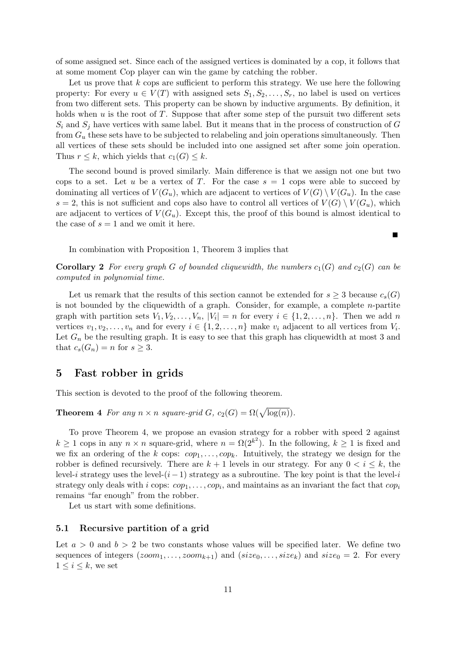of some assigned set. Since each of the assigned vertices is dominated by a cop, it follows that at some moment Cop player can win the game by catching the robber.

Let us prove that  $k$  cops are sufficient to perform this strategy. We use here the following property: For every  $u \in V(T)$  with assigned sets  $S_1, S_2, \ldots, S_r$ , no label is used on vertices from two different sets. This property can be shown by inductive arguments. By definition, it holds when  $u$  is the root of  $T$ . Suppose that after some step of the pursuit two different sets  $S_i$  and  $S_j$  have vertices with same label. But it means that in the process of construction of G from  $G_u$  these sets have to be subjected to relabeling and join operations simultaneously. Then all vertices of these sets should be included into one assigned set after some join operation. Thus  $r \leq k$ , which yields that  $c_1(G) \leq k$ .

The second bound is proved similarly. Main difference is that we assign not one but two cops to a set. Let u be a vertex of T. For the case  $s = 1$  cops were able to succeed by dominating all vertices of  $V(G_u)$ , which are adjacent to vertices of  $V(G) \setminus V(G_u)$ . In the case  $s = 2$ , this is not sufficient and cops also have to control all vertices of  $V(G) \setminus V(G_u)$ , which are adjacent to vertices of  $V(G_u)$ . Except this, the proof of this bound is almost identical to the case of  $s = 1$  and we omit it here.

п

In combination with Proposition 1, Theorem 3 implies that

**Corollary 2** For every graph G of bounded cliquewidth, the numbers  $c_1(G)$  and  $c_2(G)$  can be computed in polynomial time.

Let us remark that the results of this section cannot be extended for  $s \geq 3$  because  $c_s(G)$ is not bounded by the cliquewidth of a graph. Consider, for example, a complete  $n$ -partite graph with partition sets  $V_1, V_2, \ldots, V_n$ ,  $|V_i| = n$  for every  $i \in \{1, 2, \ldots, n\}$ . Then we add n vertices  $v_1, v_2, \ldots, v_n$  and for every  $i \in \{1, 2, \ldots, n\}$  make  $v_i$  adjacent to all vertices from  $V_i$ . Let  $G_n$  be the resulting graph. It is easy to see that this graph has cliquewidth at most 3 and that  $c_s(G_n) = n$  for  $s \geq 3$ .

## 5 Fast robber in grids

This section is devoted to the proof of the following theorem.

**Theorem 4** For any  $n \times n$  square-grid  $G$ ,  $c_2(G) = \Omega(\sqrt{\log(n)})$ .

To prove Theorem 4, we propose an evasion strategy for a robber with speed 2 against  $k \geq 1$  cops in any  $n \times n$  square-grid, where  $n = \Omega(2^{k^2})$ . In the following,  $k \geq 1$  is fixed and we fix an ordering of the k cops:  $cop_1, \ldots, cop_k$ . Intuitively, the strategy we design for the robber is defined recursively. There are  $k + 1$  levels in our strategy. For any  $0 < i \leq k$ , the level-i strategy uses the level- $(i-1)$  strategy as a subroutine. The key point is that the level-i strategy only deals with i cops:  $cop_1, \ldots, cop_i$ , and maintains as an invariant the fact that  $cop_i$ remains "far enough" from the robber.

Let us start with some definitions.

#### 5.1 Recursive partition of a grid

Let  $a > 0$  and  $b > 2$  be two constants whose values will be specified later. We define two sequences of integers  $(zoom_1, \ldots, zoom_{k+1})$  and  $(size_0, \ldots, size_k)$  and  $size_0 = 2$ . For every  $1 \leq i \leq k$ , we set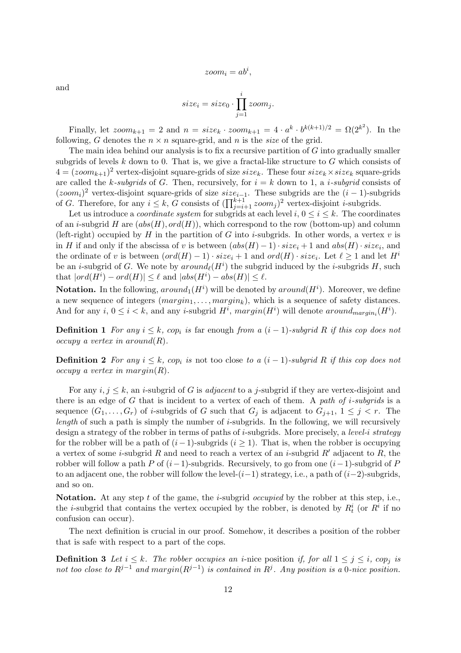$$
zoom_i = ab^i
$$

,

and

$$
size_i = size_0 \cdot \prod_{j=1}^{i} zoom_j.
$$

Finally, let  $zoom_{k+1} = 2$  and  $n = size_k \cdot zoom_{k+1} = 4 \cdot a^k \cdot b^{k(k+1)/2} = \Omega(2^{k^2})$ . In the following, G denotes the  $n \times n$  square-grid, and n is the size of the grid.

The main idea behind our analysis is to fix a recursive partition of  $G$  into gradually smaller subgrids of levels  $k$  down to 0. That is, we give a fractal-like structure to  $G$  which consists of  $4 = (zoom_{k+1})^2$  vertex-disjoint square-grids of size  $size_k$ . These four  $size_k \times size_k$  square-grids are called the k-subgrids of G. Then, recursively, for  $i = k$  down to 1, a *i*-subgrid consists of  $(zoom_i)^2$  vertex-disjoint square-grids of size  $size_{i-1}$ . These subgrids are the  $(i - 1)$ -subgrids of G. Therefore, for any  $i \leq k$ , G consists of  $(\prod_{j=i+1}^{k+1} zoom_j)^2$  vertex-disjoint *i*-subgrids.

Let us introduce a *coordinate system* for subgrids at each level  $i, 0 \le i \le k$ . The coordinates of an *i*-subgrid H are  $(abs(H), ord(H))$ , which correspond to the row (bottom-up) and column (left-right) occupied by H in the partition of G into *i*-subgrids. In other words, a vertex v is in H if and only if the abscissa of v is between  $(abs(H) - 1) \cdot size_i + 1$  and  $abs(H) \cdot size_i$ , and the ordinate of v is between  $(\text{ord}(H) - 1) \cdot \text{size}_i + 1$  and  $\text{ord}(H) \cdot \text{size}_i$ . Let  $\ell \geq 1$  and let  $H^i$ be an *i*-subgrid of G. We note by  $around_{\ell}(H^{i})$  the subgrid induced by the *i*-subgrids H, such that  $|ord(H^i) - ord(H)| \leq \ell$  and  $|abs(H^i) - abs(H)| \leq \ell$ .

**Notation.** In the following,  $around_1(H^i)$  will be denoted by  $around(H^i)$ . Moreover, we define a new sequence of integers  $(margin_1, \ldots, margin_k)$ , which is a sequence of safety distances. And for any  $i, 0 \le i < k$ , and any *i*-subgrid  $H^i$ ,  $margin(H^i)$  will denote  $around_{margin_i}(H^i)$ .

**Definition 1** For any  $i \leq k$ , cop<sub>i</sub> is far enough from a  $(i - 1)$ -subgrid R if this cop does not occupy a vertex in around  $(R)$ .

**Definition 2** For any  $i \leq k$ , cop<sub>i</sub> is not too close to a  $(i - 1)$ -subgrid R if this cop does not occupy a vertex in margin $(R)$ .

For any  $i, j \leq k$ , an *i*-subgrid of G is *adjacent* to a *j*-subgrid if they are vertex-disjoint and there is an edge of  $G$  that is incident to a vertex of each of them. A path of i-subgrids is a sequence  $(G_1, \ldots, G_r)$  of *i*-subgrids of G such that  $G_i$  is adjacent to  $G_{i+1}, 1 \leq j \leq r$ . The length of such a path is simply the number of *i*-subgrids. In the following, we will recursively design a strategy of the robber in terms of paths of *i*-subgrids. More precisely, a *level-i strategy* for the robber will be a path of  $(i-1)$ -subgrids  $(i \geq 1)$ . That is, when the robber is occupying a vertex of some *i*-subgrid R and need to reach a vertex of an *i*-subgrid R' adjacent to R, the robber will follow a path P of  $(i-1)$ -subgrids. Recursively, to go from one  $(i-1)$ -subgrid of P to an adjacent one, the robber will follow the level- $(i-1)$  strategy, i.e., a path of  $(i-2)$ -subgrids, and so on.

Notation. At any step t of the game, the i-subgrid *occupied* by the robber at this step, i.e., the *i*-subgrid that contains the vertex occupied by the robber, is denoted by  $R_t^i$  (or  $R^i$  if no confusion can occur).

The next definition is crucial in our proof. Somehow, it describes a position of the robber that is safe with respect to a part of the cops.

**Definition 3** Let  $i \leq k$ . The robber occupies an *i*-nice position if, for all  $1 \leq j \leq i$ , cop<sub>i</sub> is not too close to  $R^{j-1}$  and margin $(R^{j-1})$  is contained in  $R^j$ . Any position is a 0-nice position.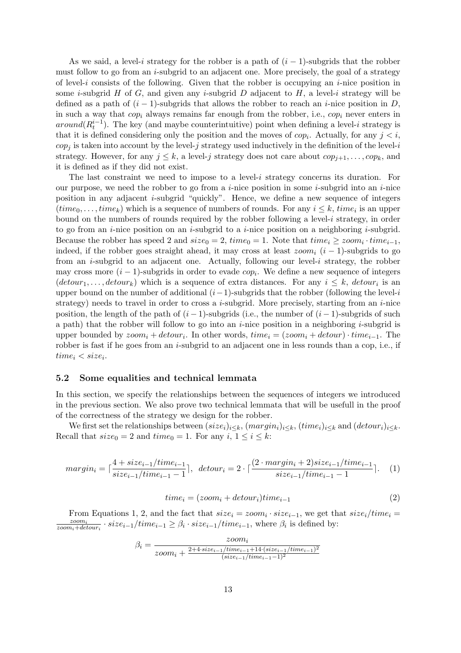As we said, a level-i strategy for the robber is a path of  $(i - 1)$ -subgrids that the robber must follow to go from an *i*-subgrid to an adjacent one. More precisely, the goal of a strategy of level-i consists of the following. Given that the robber is occupying an  $i$ -nice position in some *i*-subgrid H of G, and given any *i*-subgrid D adjacent to H, a level-*i* strategy will be defined as a path of  $(i - 1)$ -subgrids that allows the robber to reach an *i*-nice position in D, in such a way that  $cop_i$  always remains far enough from the robber, i.e.,  $cop_i$  never enters in  $around(R_t^{i-1})$ . The key (and maybe counterintuitive) point when defining a level-i strategy is that it is defined considering only the position and the moves of  $cop_i$ . Actually, for any  $j < i$ ,  $cop_j$  is taken into account by the level-j strategy used inductively in the definition of the level-i strategy. However, for any  $j \leq k$ , a level-j strategy does not care about  $cop_{j+1}, \ldots, cop_k$ , and it is defined as if they did not exist.

The last constraint we need to impose to a level-i strategy concerns its duration. For our purpose, we need the robber to go from a *i*-nice position in some *i*-subgrid into an *i*-nice position in any adjacent i-subgrid "quickly". Hence, we define a new sequence of integers  $(time_0, \ldots, time_k)$  which is a sequence of numbers of rounds. For any  $i \leq k$ ,  $time_i$  is an upper bound on the numbers of rounds required by the robber following a level-i strategy, in order to go from an *i*-nice position on an *i*-subgrid to a *i*-nice position on a neighboring *i*-subgrid. Because the robber has speed 2 and  $size_0 = 2$ ,  $time_0 = 1$ . Note that  $time_i \geq zoom_i \cdot time_{i-1}$ , indeed, if the robber goes straight ahead, it may cross at least  $zoom_i$  (i – 1)-subgrids to go from an  $i$ -subgrid to an adjacent one. Actually, following our level- $i$  strategy, the robber may cross more  $(i-1)$ -subgrids in order to evade  $cop_i$ . We define a new sequence of integers  $(detour_1, \ldots, detour_k)$  which is a sequence of extra distances. For any  $i \leq k$ ,  $detour_i$  is an upper bound on the number of additional  $(i-1)$ -subgrids that the robber (following the level-i strategy) needs to travel in order to cross a *i*-subgrid. More precisely, starting from an *i*-nice position, the length of the path of  $(i - 1)$ -subgrids (i.e., the number of  $(i - 1)$ -subgrids of such a path) that the robber will follow to go into an  $i$ -nice position in a neighboring  $i$ -subgrid is upper bounded by  $zoom_i + detour_i$ . In other words,  $time_i = (zoom_i + detour) \cdot time_{i-1}$ . The robber is fast if he goes from an  $i$ -subgrid to an adjacent one in less rounds than a cop, i.e., if  $time_i < size_i.$ 

### 5.2 Some equalities and technical lemmata

In this section, we specify the relationships between the sequences of integers we introduced in the previous section. We also prove two technical lemmata that will be usefull in the proof of the correctness of the strategy we design for the robber.

We first set the relationships between  $(size_i)_{i\leq k}, (margin_i)_{i\leq k}, (time_i)_{i\leq k}$  and  $(detour_i)_{i\leq k}$ . Recall that  $size_0 = 2$  and  $time_0 = 1$ . For any  $i, 1 \le i \le k$ :

$$
margin_i = \lceil \frac{4 + size_{i-1} / time_{i-1}}{size_{i-1} / time_{i-1} - 1} \rceil, \ \ detour_i = 2 \cdot \lceil \frac{(2 \cdot margin_i + 2) size_{i-1} / time_{i-1}}{size_{i-1} / time_{i-1} - 1} \rceil. \tag{1}
$$

$$
time_i = (zoom_i + detour_i) time_{i-1}
$$
\n<sup>(2)</sup>

From Equations 1, 2, and the fact that  $size_i = zoom_i \cdot size_{i-1}$ , we get that  $size_i / time_i =$ zoomi  $\frac{zoom_i}{zoom_i+detour_i} \cdot size_{i-1}/time_{i-1} \geq \beta_i \cdot size_{i-1}/time_{i-1}$ , where  $\beta_i$  is defined by:

$$
\beta_i = \frac{zoom_i}{zoom_i + \frac{2+4 \cdot size_{i-1}/time_{i-1}+14 \cdot (size_{i-1}/time_{i-1})^2}{(size_{i-1}/time_{i-1}-1)^2}}
$$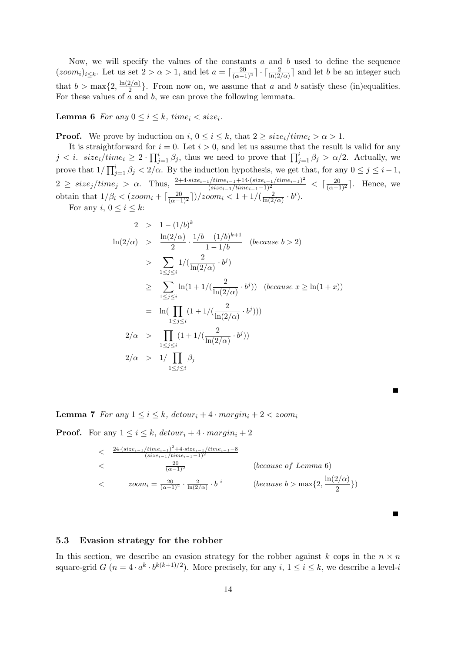Now, we will specify the values of the constants  $a$  and  $b$  used to define the sequence  $(zoom_i)_{i\leq k}$ . Let us set  $2 > \alpha > 1$ , and let  $a = \lceil \frac{20}{(\alpha-1)^2} \rceil \cdot \lceil \frac{2}{\ln(2/\alpha)} \rceil$  and let b be an integer such that  $b > \max\{2, \frac{\ln(2/\alpha)}{2}$  $\left\{\frac{2}{2}\right\}$ . From now on, we assume that a and b satisfy these (in)equalities. For these values of  $\overline{a}$  and  $\overline{b}$ , we can prove the following lemmata.

**Lemma 6** For any  $0 \leq i \leq k$ , time<sub>i</sub>  $\lt$  size<sub>i</sub>.

**Proof.** We prove by induction on  $i, 0 \le i \le k$ , that  $2 \ge size_i / time_i > \alpha > 1$ .

It is straightforward for  $i = 0$ . Let  $i > 0$ , and let us assume that the result is valid for any  $j < i. \ \ size_i/time_i \geq 2 \cdot \prod_{j=1}^i \beta_j$ , thus we need to prove that  $\prod_{j=1}^i \beta_j > \alpha/2$ . Actually, we prove that  $1/\prod_{j=1}^{i} \beta_j < 2/\alpha$ . By the induction hypothesis, we get that, for any  $0 \leq j \leq i-1$ ,  $2 \geq size_j / time_j > \alpha$ . Thus,  $\frac{2+4\cdot size_{i-1} / time_{i-1} + 14\cdot (size_{i-1} / time_{i-1})^2}{(size_{i-1} / time_{i-1}-1)^2} < \lceil \frac{20}{(\alpha-1)^2} \rceil$ . Hence, we obtain that  $1/\beta_i < (zoom_i + \lceil \frac{20}{(\alpha - 1)^2} \rceil)/zoom_i < 1 + 1/(\frac{2}{\ln(2)})$  $\frac{2}{\ln(2/\alpha)} \cdot b^i$ ).

For any  $i, 0 \leq i \leq k$ :

$$
2 > 1 - (1/b)^{k}
$$
  
\n
$$
\ln(2/\alpha) > \frac{\ln(2/\alpha)}{2} \cdot \frac{1/b - (1/b)^{k+1}}{1 - 1/b} \quad \text{(because } b > 2)
$$
  
\n
$$
> \sum_{1 \le j \le i} 1 / (\frac{2}{\ln(2/\alpha)} \cdot b^{j})
$$
  
\n
$$
\ge \sum_{1 \le j \le i} \ln(1 + 1 / (\frac{2}{\ln(2/\alpha)} \cdot b^{j})) \quad \text{(because } x \ge \ln(1+x))
$$
  
\n
$$
= \ln(\prod_{1 \le j \le i} (1 + 1 / (\frac{2}{\ln(2/\alpha)} \cdot b^{j})))
$$
  
\n
$$
2/\alpha > \prod_{1 \le j \le i} (1 + 1 / (\frac{2}{\ln(2/\alpha)} \cdot b^{j}))
$$
  
\n
$$
2/\alpha > 1 / \prod_{1 \le j \le i} \beta_{j}
$$

**Lemma 7** For any  $1 \leq i \leq k$ , detour<sub>i</sub> + 4 · margin<sub>i</sub> + 2 < zoom<sub>i</sub>

**Proof.** For any  $1 \leq i \leq k$ ,  $detour_i + 4 \cdot margin_i + 2$ 

$$
\begin{aligned}\n&\leq 24 \cdot (size_{i-1}/time_{i-1})^2 + 4 \cdot size_{i-1}/time_{i-1} - 8 \\
&\leq 20 \\
&\leq 20 \\
&\leq 20 \\
&\leq 20 \\
&\leq 20 \\
&\leq 20 \\
&\leq 20 \\
&\leq 20 \\
&\leq 20 \\
&\leq 20 \\
&\leq 20 \\
&\leq 20 \\
&\leq 20 \\
&\leq 20 \\
&\leq 20 \\
&\leq 20 \\
&\leq 20 \\
&\leq 20 \\
&\leq 20 \\
&\leq 20 \\
&\leq 20 \\
&\leq 20 \\
&\leq 20 \\
&\leq 20 \\
&\leq 20 \\
&\leq 20 \\
&\leq 20 \\
&\leq 20 \\
&\leq 20 \\
&\leq 20 \\
&\leq 20 \\
&\leq 20 \\
&\leq 20 \\
&\leq 20 \\
&\leq 20 \\
&\leq 20 \\
&\leq 20 \\
&\leq 20 \\
&\leq 20 \\
&\leq 20 \\
&\leq 20 \\
&\leq 20 \\
&\leq 20 \\
&\leq 20 \\
&\leq 20 \\
&\leq 20 \\
&\leq 20 \\
&\leq 20 \\
&\leq 20 \\
&\leq 20 \\
&\leq 20 \\
&\leq 20 \\
&\leq 20 \\
&\leq 20 \\
&\leq 20 \\
&\leq 20 \\
&\leq 20 \\
&\leq 20 \\
&\leq 20 \\
&\leq 20 \\
&\leq 20 \\
&\leq 20 \\
&\leq 20 \\
&\leq 20 \\
&\leq 20 \\
&\leq 20 \\
&\leq 20 \\
&\leq 20 \\
&\leq 20 \\
&\leq 20 \\
&\leq 20 \\
&\leq 20 \\
&\leq 20 \\
&\leq 20 \\
&\leq 20 \\
&\leq 20 \\
&\leq 20 \\
&\leq 20 \\
&\leq 20 \\
&\leq 20 \\
&\leq 20 \\
&\leq 20 \\
&\leq 20 \\
&\leq 20 \\
&\leq 20 \\
&\leq 20 \\
&\leq 20 \\
&\leq 20 \\
&\leq
$$

## 5.3 Evasion strategy for the robber

In this section, we describe an evasion strategy for the robber against k cops in the  $n \times n$ square-grid  $G$   $(n = 4 \cdot a^k \cdot b^{k(k+1)/2})$ . More precisely, for any  $i, 1 \le i \le k$ , we describe a level-i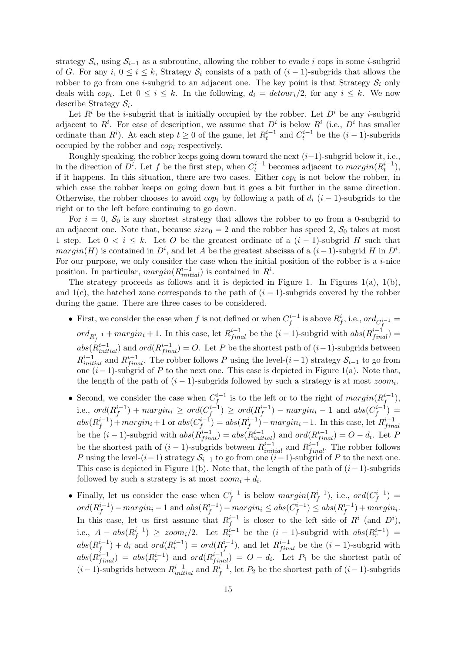strategy  $S_i$ , using  $S_{i-1}$  as a subroutine, allowing the robber to evade i cops in some i-subgrid of G. For any i,  $0 \le i \le k$ , Strategy  $S_i$  consists of a path of  $(i-1)$ -subgrids that allows the robber to go from one *i*-subgrid to an adjacent one. The key point is that Strategy  $S_i$  only deals with  $cop_i$ . Let  $0 \leq i \leq k$ . In the following,  $d_i = detour_i/2$ , for any  $i \leq k$ . We now describe Strategy  $S_i$ .

Let  $R^i$  be the *i*-subgrid that is initially occupied by the robber. Let  $D^i$  be any *i*-subgrid adjacent to  $R^i$ . For ease of description, we assume that  $D^i$  is below  $R^i$  (i.e.,  $D^i$  has smaller ordinate than  $R^i$ ). At each step  $t \geq 0$  of the game, let  $R_t^{i-1}$  and  $C_t^{i-1}$  be the  $(i-1)$ -subgrids occupied by the robber and  $cop_i$  respectively.

Roughly speaking, the robber keeps going down toward the next  $(i-1)$ -subgrid below it, i.e., in the direction of  $D^i$ . Let f be the first step, when  $C_t^{i-1}$  becomes adjacent to  $margin(R_t^{i-1})$ , if it happens. In this situation, there are two cases. Either  $cop_i$  is not below the robber, in which case the robber keeps on going down but it goes a bit further in the same direction. Otherwise, the robber chooses to avoid cop<sub>i</sub> by following a path of  $d_i$  (i – 1)-subgrids to the right or to the left before continuing to go down.

For  $i = 0$ ,  $S_0$  is any shortest strategy that allows the robber to go from a 0-subgrid to an adjacent one. Note that, because  $size_0 = 2$  and the robber has speed 2,  $S_0$  takes at most 1 step. Let  $0 \le i \le k$ . Let O be the greatest ordinate of a  $(i-1)$ -subgrid H such that  $margin(H)$  is contained in  $D<sup>i</sup>$ , and let A be the greatest abscissa of a  $(i-1)$ -subgrid H in  $D<sup>i</sup>$ . For our purpose, we only consider the case when the initial position of the robber is a  $i$ -nice position. In particular,  $margin(R_{initial}^{i-1})$  is contained in  $R^i$ .

The strategy proceeds as follows and it is depicted in Figure 1. In Figures  $1(a)$ ,  $1(b)$ , and 1(c), the hatched zone corresponds to the path of  $(i - 1)$ -subgrids covered by the robber during the game. There are three cases to be considered.

- First, we consider the case when f is not defined or when  $C_f^{i-1}$  $f^{i-1}$  is above  $R^i_f$ , i.e.,  $ord_{C^{i-1}_f} =$  $ord_{R_f^{i-1}} + margin_i + 1$ . In this case, let  $R_{final}^{i-1}$  be the  $(i-1)$ -subgrid with  $abs(R_{final}^{i-1}) =$  $abs(R_{initial}^{i-1})$  and  $ord(R_{final}^{i-1}) = O$ . Let P be the shortest path of  $(i-1)$ -subgrids between  $R_{initial}^{i-1}$  and  $R_{final}^{i-1}$ . The robber follows P using the level- $(i-1)$  strategy  $S_{i-1}$  to go from one  $(i-1)$ -subgrid of P to the next one. This case is depicted in Figure 1(a). Note that, the length of the path of  $(i - 1)$ -subgrids followed by such a strategy is at most  $zoom_i$ .
- Second, we consider the case when  $C_f^{i-1}$  $j_f^{i-1}$  is to the left or to the right of  $margin(R_f^{i-1})$  $i^{-1}_f$ ), i.e.,  $ord(R_f^{i-1})$  $j_f^{i-1}) + margin_i \geq \textit{ord}(C_f^{i-1})$  $\binom{n^{i-1}}{f} \geq \textit{ord}(R^{i-1}_f)$  $j_f^{i-1})$  –  $margin_i - 1$  and  $abs(C_f^{i-1})$  $j^{i-1}) =$  $abs(R_f^{i-1})$  $j_f^{i-1})+margin_i+1$  or  $abs(C_f^{i-1})$  $f^{i-1}_{f}$ ) =  $abs(R_f^{i-1})$  $\binom{i-1}{f}$  –  $margin_i - 1$ . In this case, let  $R_{fin}^{i-1}$  $\it final$ be the  $(i-1)$ -subgrid with  $abs(R_{final}^{i-1}) = abs(R_{initial}^{i-1})$  and  $ord(R_{final}^{i-1}) = O - d_i$ . Let P be the shortest path of  $(i-1)$ -subgrids between  $R_{initial}^{i-1}$  and  $R_{final}^{i-1}$ . The robber follows P using the level- $(i-1)$  strategy  $S_{i-1}$  to go from one  $(i-1)$ -subgrid of P to the next one. This case is depicted in Figure 1(b). Note that, the length of the path of  $(i-1)$ -subgrids followed by such a strategy is at most  $zoom_i + d_i$ .
- Finally, let us consider the case when  $C_f^{i-1}$  $j_f^{i-1}$  is below  $margin(R_f^{i-1})$  $j_f^{i-1}$ ), i.e.,  $ord(C_f^{i-1})$  $j^{i-1}_{f}) =$ ord $(R_f^{i-1}$  $j_f^{i-1})$  –  $margin_i - 1$  and  $abs(R_f^{i-1})$  $j_f^{i-1})$  –  $margin_i \leq abs(C_f^{i-1})$  $f^{i-1}) \leq abs(R_f^{i-1})$  $j_f^{i-1}) + margin_i.$ In this case, let us first assume that  $R_f^{i-1}$  $i-1 \atop f$  is closer to the left side of  $R^i$  (and  $D^i$ ), i.e.,  $A - abs(R_f^{i-1})$  $f^{i-1}_{f}$  >  $\geq$  zoom<sub>i</sub>/2. Let  $R_r^{i-1}$  be the  $(i-1)$ -subgrid with  $abs(R_r^{i-1})$  =  $abs(R_f^{i-1})$  $f_f^{i-1}) + d_i$  and  $ord(R_r^{i-1}) = ord(R_f^{i-1})$  $j_f^{i-1}$ ), and let  $R_{final}^{i-1}$  be the  $(i-1)$ -subgrid with  $abs(R_{final}^{i-1}) = abs(R_{r}^{i-1})$  and  $ord(R_{final}^{i-1}) = O - d_{i}$ . Let  $P_{1}$  be the shortest path of  $(i-1)$ -subgrids between  $R_{initial}^{i-1}$  and  $R_f^{i-1}$  $f^{i-1}_{f}$ , let  $P_2$  be the shortest path of  $(i-1)$ -subgrids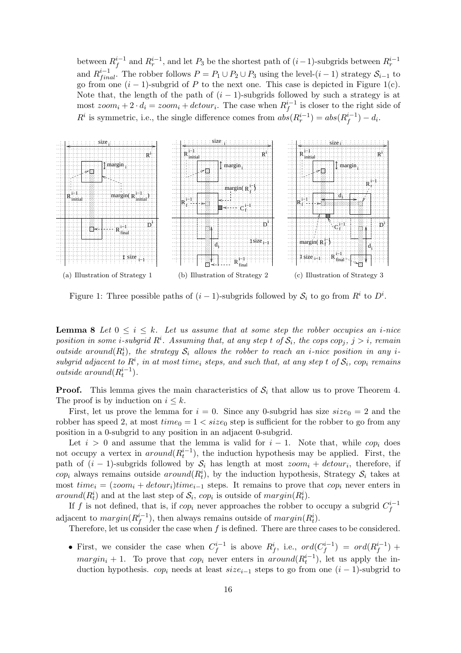between  $R_f^{i-1}$  $f_f^{i-1}$  and  $R_r^{i-1}$ , and let  $P_3$  be the shortest path of  $(i-1)$ -subgrids between  $R_r^{i-1}$ and  $R_{final}^{i-1}$ . The robber follows  $P = P_1 \cup P_2 \cup P_3$  using the level- $(i-1)$  strategy  $S_{i-1}$  to go from one  $(i - 1)$ -subgrid of P to the next one. This case is depicted in Figure 1(c). Note that, the length of the path of  $(i - 1)$ -subgrids followed by such a strategy is at most  $zoom_i + 2 \cdot d_i = zoom_i + detour_i$ . The case when  $R_f^{i-1}$  $i<sup>t-1</sup>$  is closer to the right side of  $R^i$  is symmetric, i.e., the single difference comes from  $abs(R_r^{i-1}) = abs(R_f^{i-1})$  $i_{f}^{-1}) - d_{i}.$ 



Figure 1: Three possible paths of  $(i-1)$ -subgrids followed by  $S_i$  to go from  $R^i$  to  $D^i$ .

**Lemma 8** Let  $0 \leq i \leq k$ . Let us assume that at some step the robber occupies an *i*-nice position in some i-subgrid  $R^i$ . Assuming that, at any step t of  $\mathcal{S}_i$ , the cops cop<sub>j</sub>,  $j > i$ , remain outside around  $(R_t^i)$ , the strategy  $S_i$  allows the robber to reach an *i*-nice position in any *i*subgrid adjacent to  $R^i$ , in at most time<sub>i</sub> steps, and such that, at any step t of  $S_i$ , cop<sub>i</sub> remains *outside around* $(R_t^{i-1})$ .

**Proof.** This lemma gives the main characteristics of  $S_i$  that allow us to prove Theorem 4. The proof is by induction on  $i \leq k$ .

First, let us prove the lemma for  $i = 0$ . Since any 0-subgrid has size  $size_0 = 2$  and the robber has speed 2, at most  $time_0 = 1 < size_0$  step is sufficient for the robber to go from any position in a 0-subgrid to any position in an adjacent 0-subgrid.

Let  $i > 0$  and assume that the lemma is valid for  $i - 1$ . Note that, while cop<sub>i</sub> does not occupy a vertex in  $around(R_t^{i-1})$ , the induction hypothesis may be applied. First, the path of  $(i - 1)$ -subgrids followed by  $S_i$  has length at most  $zoom_i + detour_i$ , therefore, if  $cop_i$  always remains outside  $around(R_t^i)$ , by the induction hypothesis, Strategy  $S_i$  takes at most  $time_i = (zoom_i + detour_i)time_{i-1}$  steps. It remains to prove that  $cop_i$  never enters in  $around(R_t^i)$  and at the last step of  $S_i$ ,  $cop_i$  is outside of  $margin(R_t^i)$ .

If f is not defined, that is, if  $cop_i$  never approaches the robber to occupy a subgrid  $C_f^{i-1}$ f adjacent to  $margin(R_f^{i-1})$  $j_f^{i-1}$ ), then always remains outside of  $margin(R_t^i)$ .

Therefore, let us consider the case when  $f$  is defined. There are three cases to be considered.

• First, we consider the case when  $C_f^{i-1}$  $i_f^{i-1}$  is above  $R_f^i$ , i.e.,  $ord(C_f^{i-1})$  $\binom{i-1}{f} = ord(R_f^{i-1})$  $j^{i-1}_{(f)}$  +  $margin_i + 1$ . To prove that  $cop_i$  never enters in  $around(R_t^{i-1})$ , let us apply the induction hypothesis. cop<sub>i</sub> needs at least size<sub>i-1</sub> steps to go from one  $(i - 1)$ -subgrid to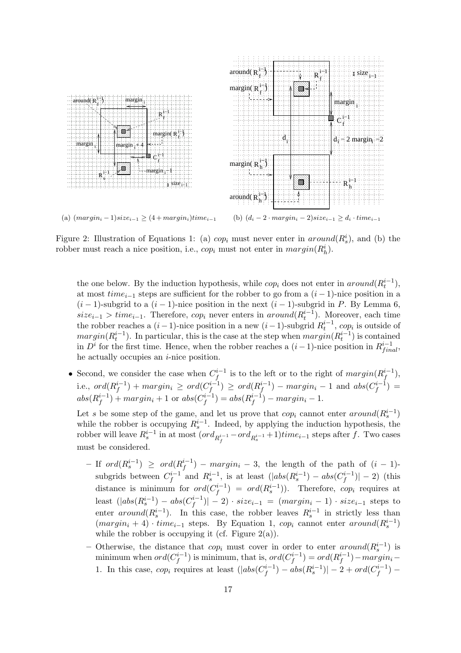

Figure 2: Illustration of Equations 1: (a)  $cop_i$  must never enter in  $around(R_s^i)$ , and (b) the robber must reach a nice position, i.e.,  $cop_i$  must not enter in  $margin(R_h^i)$ .

the one below. By the induction hypothesis, while  $cop_i$  does not enter in  $around(R_t^{i-1})$ , at most  $time_{i-1}$  steps are sufficient for the robber to go from a  $(i-1)$ -nice position in a  $(i-1)$ -subgrid to a  $(i-1)$ -nice position in the next  $(i-1)$ -subgrid in P. By Lemma 6,  $size_{i-1} > time_{i-1}$ . Therefore,  $cop_i$  never enters in  $around(R_i^{i-1})$ . Moreover, each time the robber reaches a  $(i-1)$ -nice position in a new  $(i-1)$ -subgrid  $R_t^{i-1}$ , cop<sub>i</sub> is outside of  $margin(R_t^{i-1})$ . In particular, this is the case at the step when  $margin(R_t^{i-1})$  is contained in  $D<sup>i</sup>$  for the first time. Hence, when the robber reaches a  $(i-1)$ -nice position in  $R<sup>i-1</sup>_{final}$ , he actually occupies an  $i$ -nice position.

• Second, we consider the case when  $C_f^{i-1}$  $j_f^{i-1}$  is to the left or to the right of  $margin(R_f^{i-1})$  $\binom{i-1}{f},$ i.e.,  $ord(R_f^{i-1})$  $j_f^{i-1}) + margin_i \geq \textit{ord}(C_f^{i-1})$  $\binom{i-1}{f} \geq \textit{ord}(R^{i-1}_f)$  $j_f^{i-1})$  –  $margin_i - 1$  and  $abs(C_f^{i-1})$  $j^{i-1}) =$  $abs(R_f^{i-1}$  $f^{i-1}_{f}) + margin_i + 1$  or  $abs(C_f^{i-1})$  $j_f^{i-1}) = abs(R_f^{i-1})$  $f^{i-1}_{f}$ ) – margin<sub>i</sub> – 1.

Let s be some step of the game, and let us prove that  $cop_i$  cannot enter  $around(R_s^{i-1})$ while the robber is occupying  $R_s^{i-1}$ . Indeed, by applying the induction hypothesis, the robber will leave  $R_s^{i-1}$  in at most  $(ord_{R_f^{i-1}} - ord_{R_s^{i-1}} + 1)$ tim $e_{i-1}$  steps after f. Two cases must be considered.

- $-$  If  $ord(R_s^{i-1})$  ≥  $ord(R_f^{i-1})$  $f^{i-1}_{f}$ ) –  $margin_i - 3$ , the length of the path of  $(i - 1)$ subgrids between  $C_f^{i-1}$  $f_f^{i-1}$  and  $R_s^{i-1}$ , is at least  $(|abs(R_s^{i-1}) - abs(C_f^{i-1})|$  $|f^{i-1}|$  = 2) (this distance is minimum for  $ord(C_f^{i-1})$  $(f^{i-1}) = ord(R_s^{i-1})$ . Therefore,  $cop_i$  requires at least  $(|abs(R_s^{i-1}) - abs(C_f^{i-1})|$  $|f^{i-1}| - 2 \cdot size_{i-1} = (margin_i - 1) \cdot size_{i-1}$  steps to enter  $around(R_s^{i-1})$ . In this case, the robber leaves  $R_s^{i-1}$  in strictly less than  $(margin_i + 4) \cdot time_{i-1}$  steps. By Equation 1,  $cop_i$  cannot enter  $around(R_s^{i-1})$ while the robber is occupying it (cf. Figure  $2(a)$ ).
- Otherwise, the distance that  $cop_i$  must cover in order to enter  $around(R_s^{i-1})$  is s minimum when  $ord(C_f^{i-1})$  $f_f^{i-1})$  is minimum, that is,  $ord(C_f^{i-1})$  $f^{i-1}) = ord(R_f^{i-1})$  $\binom{n-1}{f}$  – margin<sub>i</sub> – 1. In this case,  $cop_i$  requires at least  $(|abs(C_f^{i-1})|)$  $\int_{f}^{i-1}) - abs(R^{i-1}_s)| - 2 + ord(C^{i-1}_f)$  $j^{n-1}_{f}$ ) –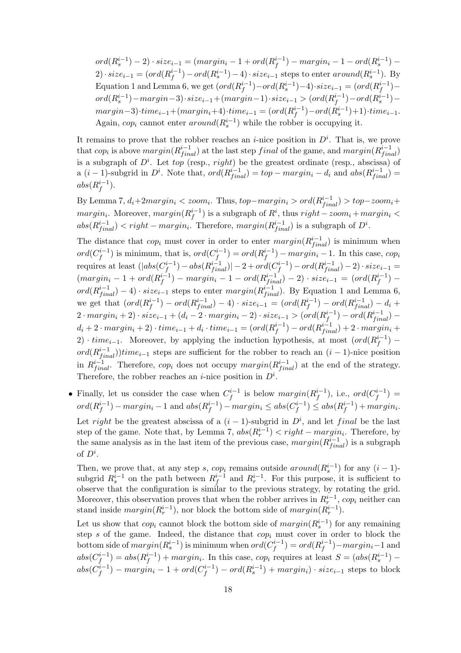$ord(R_s^{i-1}) - 2) \cdot size_{i-1} = (margin_i - 1 + ord(R_f^{i-1})$  $j_f^{i-1}) - margin_i - 1 - ord(R_s^{i-1}) -$ 2)·  $size_{i-1} = (ord(R_f^{i-1}))$  $f_f^{i-1}$ ) –  $ord(R_s^{i-1}) - 4) \cdot size_{i-1}$  steps to enter  $around(R_s^{i-1})$ . By Equation 1 and Lemma 6, we get  $(\text{ord}(R_f^{i-1}))$  $j_f^{i-1}) - ord(R_s^{i-1}) - 4 \cdot size_{i-1} = (ord(R_f^{i-1}))$  $j^{i-1}$ )  $ord(R^{i-1}_s) - margin-3) \cdot size_{i-1} + (margin-1) \cdot size_{i-1} > (ord(R^{i-1}_f$  $f^{i-1}) - ord(R_s^{i-1})$  $margin-3) \cdot time_{i-1} + (margin_i + 4) \cdot time_{i-1} = (ord(R_f^{i-1}))$  $j_f^{i-1}) - ord(R_s^{i-1}) + 1) \cdot time_{i-1}.$ Again, cop<sub>i</sub> cannot enter  $around(R_s^{i-1})$  while the robber is occupying it.

It remains to prove that the robber reaches an *i*-nice position in  $D^i$ . That is, we prove that  $cop_i$  is above  $margin(R_{final}^{i-1})$  at the last step final of the game, and  $margin(R_{final}^{i-1})$ is a subgraph of  $D^i$ . Let top (resp., right) be the greatest ordinate (resp., abscissa) of a  $(i-1)$ -subgrid in  $D^i$ . Note that,  $ord(R_{final}^{i-1}) = top - margin_i - d_i$  and  $abs(R_{final}^{i-1}) =$  $abs(R_f^{i-1})$  $\binom{i-1}{f}$ .

By Lemma 7,  $d_i + 2margin_i < zoom_i$ . Thus,  $top - margin_i > ord(R_{final}^{i-1}) > top - zoom_i +$  $margin_i$ . Moreover,  $margin(R_f^{i-1})$  $j_f^{i-1}$ ) is a subgraph of  $R^i$ , thus  $right-zoom_i + margin_i <$  $abs(R_{final}^{i-1}) < right - margin_i$ . Therefore,  $margin(R_{final}^{i-1})$  is a subgraph of  $D^i$ .

The distance that  $cop_i$  must cover in order to enter  $margin(R_{final}^{i-1})$  is minimum when ord $(C_f^{i-1}$  $j_f^{i-1}$ ) is minimum, that is,  $ord(C_f^{i-1})$  $f^{i-1}_{f}$ ) =  $ord(R_f^{i-1})$  $f_i^{(-1)}$  –  $margin_i - 1$ . In this case,  $cop_i$ requires at least  $(|abs(C_f^{i-1})|)$  $\binom{i-1}{f} - abs(R^{i-1}_{final}) |-2 + ord(C^{i-1}_{f})$  $f_f^{i-1}) - ord(R_{final}^{i-1}) - 2) \cdot size_{i-1} =$  $(margin_i - 1 + ord(R_f^{i-1}))$  $f^{i-1}_{f}) - margin_{i} - 1 - ord(R^{i-1}_{final}) - 2) \cdot size_{i-1} = (ord(R^{i-1}_{f})$  $j^{i-1}_{(f)}$  –  $ord(R_{final}^{i-1}) - 4) \cdot size_{i-1}$  steps to enter  $margin(R_{final}^{i-1})$ . By Equation 1 and Lemma 6, we get that  $\left(\text{ord}(R_f^{i-1})\right)$  $f_f^{i-1}) - ord(R_{final}^{i-1}) - 4) \cdot size_{i-1} = (ord(R_f^{i-1})$  $f^{i-1}_{f}$ ) –  $ord(R_{final}^{i-1}) - d_i +$  $2 \cdot margin_i + 2) \cdot size_{i-1} + (d_i - 2 \cdot margin_i - 2) \cdot size_{i-1} > (ord(R_f^{i-1}))$  $f^{i-1}) - ord(R_{final}^{i-1})$  $d_i + 2 \cdot margin_i + 2) \cdot time_{i-1} + d_i \cdot time_{i-1} = (ord(R_f^{i-1}))$  $f_f^{i-1}) - ord(R_{final}^{i-1}) + 2 \cdot margin_i +$ 2) ·  $time_{i-1}$ . Moreover, by applying the induction hypothesis, at most  $(ord(R_f^{i-1}))$  $j^{i-1}$ )  $ord(R_{final}^{i-1})$ )time<sub>i-1</sub> steps are sufficient for the robber to reach an  $(i-1)$ -nice position in  $R^{i-1}_{final}$ . Therefore,  $cop_i$  does not occupy  $margin(R^{i-1}_{final})$  at the end of the strategy. Therefore, the robber reaches an *i*-nice position in  $D^i$ .

• Finally, let us consider the case when  $C_f^{i-1}$  $j_f^{i-1}$  is below  $margin(R_f^{i-1})$  $j_f^{i-1}$ ), i.e.,  $ord(C_f^{i-1})$  $j^{i-1}) =$ ord $(R_f^{i-1}$  $j_f^{i-1})$  –  $margin_i - 1$  and  $abs(R_f^{i-1})$  $j_f^{i-1})$  –  $margin_i \leq abs(C_f^{i-1})$  $f^{i-1}) \leq abs(R_f^{i-1})$  $j_f^{i-1}) + margin_i.$ Let *right* be the greatest abscissa of a  $(i - 1)$ -subgrid in  $D^i$ , and let *final* be the last step of the game. Note that, by Lemma 7,  $abs(R_r^{i-1}) < right - margin_i$ . Therefore, by the same analysis as in the last item of the previous case,  $margin(R_{final}^{i-1})$  is a subgraph of  $D^i$ .

Then, we prove that, at any step s, cop<sub>i</sub> remains outside around( $R_s^{i-1}$ ) for any  $(i-1)$ subgrid  $R_s^{i-1}$  on the path between  $R_f^{i-1}$  $i_f^{-1}$  and  $R_r^{i-1}$ . For this purpose, it is sufficient to observe that the configuration is similar to the previous strategy, by rotating the grid. Moreover, this observation proves that when the robber arrives in  $R_r^{i-1}$ , cop<sub>i</sub> neither can stand inside  $margin(R_r^{i-1})$ , nor block the bottom side of  $margin(R_r^{i-1})$ .

Let us show that  $cop_i$  cannot block the bottom side of  $margin(R_s^{i-1})$  for any remaining step s of the game. Indeed, the distance that  $cop_i$  must cover in order to block the bottom side of  $margin(R_s^{i-1})$  is minimum when  $ord(C_f^{i-1})$  $f^{i-1}) = ord(R_f^{i-1})$  $j^{i-1}_{f}$ ) –  $margin_i - 1$  and  $abs(C_f^{i-1})$  $f^{i-1}_{f}$ ) =  $abs(R_f^{i-1})$  $f_j^{i-1}$ ) + margin<sub>i</sub>. In this case, cop<sub>i</sub> requires at least  $S = (abs(R_s^{i-1})$  $abs(C_f^{i-1})$  $f^{i-1}_{f}) - margin_i - 1 + ord(C_f^{i-1})$  $(f^{i-1})$  –  $ord(R_s^{i-1})$  +  $margin_i) \cdot size_{i-1}$  steps to block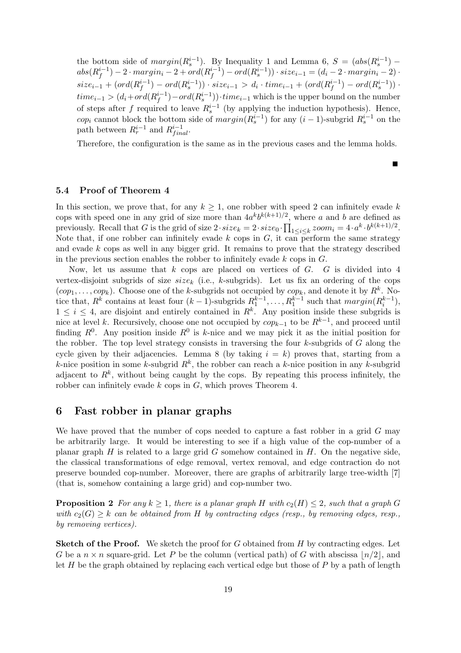the bottom side of  $margin(R_s^{i-1})$ . By Inequality 1 and Lemma 6,  $S = (abs(R_s^{i-1})$  $abs(R_f^{i-1}$  $j_f^{i-1})-2\cdot margin_i-2+ord(R^{i-1}_f)$  $f_j^{i-1}) - ord(R_s^{i-1}) \cdot size_{i-1} = (d_i - 2 \cdot margin_i - 2) \cdot$  $size_{i-1} + (ord(R_f^{i-1}))$  $f_j^{i-1}) - ord(R_s^{i-1})$ ) · size<sub>i-1</sub> > d<sub>i</sub> · time<sub>i-1</sub> + (ord( $R_f^{i-1}$ )  $j_f^{i-1}) - ord(R_s^{i-1})$ .  $time_{i-1} > (d_i + ord(R_f^{i-1}))$  $(f^{i-1})$  –  $ord(R_s^{i-1})$ ) $\cdot time_{i-1}$  which is the upper bound on the number of steps after f required to leave  $R_s^{i-1}$  (by applying the induction hypothesis). Hence, cop<sub>i</sub> cannot block the bottom side of  $margin(R_s^{i-1})$  for any  $(i-1)$ -subgrid  $R_s^{i-1}$  on the path between  $R_r^{i-1}$  and  $R_{final}^{i-1}$ .

Therefore, the configuration is the same as in the previous cases and the lemma holds.

п

## 5.4 Proof of Theorem 4

In this section, we prove that, for any  $k \geq 1$ , one robber with speed 2 can infinitely evade k cops with speed one in any grid of size more than  $4a^kb^{k(k+1)/2}$ , where a and b are defined as previously. Recall that G is the grid of size  $2 \cdot size_k = 2 \cdot size_0 \cdot \prod_{1 \leq i \leq k} zoom_i = 4 \cdot a^k \cdot b^{k(k+1)/2}$ . Note that, if one robber can infinitely evade k cops in  $G$ , it can perform the same strategy and evade  $k$  cops as well in any bigger grid. It remains to prove that the strategy described in the previous section enables the robber to infinitely evade  $k$  cops in  $G$ .

Now, let us assume that  $k$  cops are placed on vertices of  $G$ .  $G$  is divided into 4 vertex-disjoint subgrids of size  $size_k$  (i.e., k-subgrids). Let us fix an ordering of the cops  $(cop_1, \ldots, cop_k)$ . Choose one of the k-subgrids not occupied by  $cop_k$ , and denote it by  $R^k$ . Notice that,  $R^k$  contains at least four  $(k-1)$ -subgrids  $R_1^{k-1}, \ldots, R_1^{k-1}$  such that  $margin(R_i^{k-1}),$  $1 \leq i \leq 4$ , are disjoint and entirely contained in  $R^k$ . Any position inside these subgrids is nice at level k. Recursively, choose one not occupied by  $cop_{k-1}$  to be  $R^{k-1}$ , and proceed until finding  $R^0$ . Any position inside  $R^0$  is k-nice and we may pick it as the initial position for the robber. The top level strategy consists in traversing the four  $k$ -subgrids of  $G$  along the cycle given by their adjacencies. Lemma 8 (by taking  $i = k$ ) proves that, starting from a k-nice position in some k-subgrid  $R^k$ , the robber can reach a k-nice position in any k-subgrid adjacent to  $R^k$ , without being caught by the cops. By repeating this process infinitely, the robber can infinitely evade k cops in G, which proves Theorem 4.

## 6 Fast robber in planar graphs

We have proved that the number of cops needed to capture a fast robber in a grid G may be arbitrarily large. It would be interesting to see if a high value of the cop-number of a planar graph  $H$  is related to a large grid  $G$  somehow contained in  $H$ . On the negative side, the classical transformations of edge removal, vertex removal, and edge contraction do not preserve bounded cop-number. Moreover, there are graphs of arbitrarily large tree-width [7] (that is, somehow containing a large grid) and cop-number two.

**Proposition 2** For any  $k \geq 1$ , there is a planar graph H with  $c_2(H) \leq 2$ , such that a graph G with  $c_2(G) \geq k$  can be obtained from H by contracting edges (resp., by removing edges, resp., by removing vertices).

**Sketch of the Proof.** We sketch the proof for G obtained from  $H$  by contracting edges. Let G be a  $n \times n$  square-grid. Let P be the column (vertical path) of G with abscissa  $\lfloor n/2 \rfloor$ , and let  $H$  be the graph obtained by replacing each vertical edge but those of  $P$  by a path of length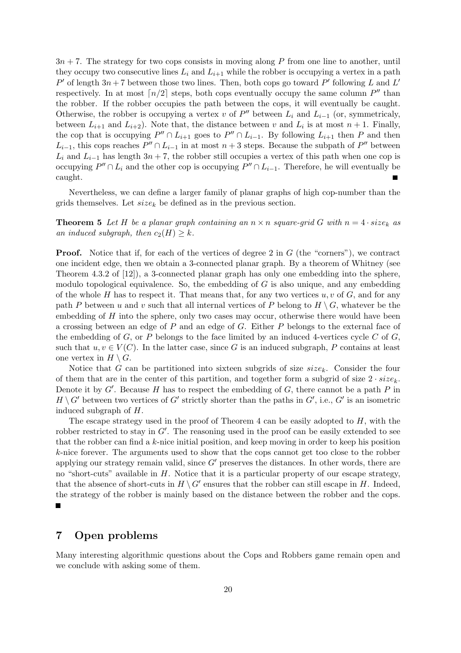$3n + 7$ . The strategy for two cops consists in moving along P from one line to another, until they occupy two consecutive lines  $L_i$  and  $L_{i+1}$  while the robber is occupying a vertex in a path P' of length  $3n + 7$  between those two lines. Then, both cops go toward P' following L and L' respectively. In at most  $\lceil n/2 \rceil$  steps, both cops eventually occupy the same column  $P''$  than the robber. If the robber occupies the path between the cops, it will eventually be caught. Otherwise, the robber is occupying a vertex v of  $P''$  between  $L_i$  and  $L_{i-1}$  (or, symmetricaly, between  $L_{i+1}$  and  $L_{i+2}$ ). Note that, the distance between v and  $L_i$  is at most  $n+1$ . Finally, the cop that is occupying  $P'' \cap L_{i+1}$  goes to  $P'' \cap L_{i-1}$ . By following  $L_{i+1}$  then P and then  $L_{i-1}$ , this cops reaches  $P'' \cap L_{i-1}$  in at most  $n+3$  steps. Because the subpath of  $P''$  between  $L_i$  and  $L_{i-1}$  has length 3n + 7, the robber still occupies a vertex of this path when one cop is occupying  $P'' \cap L_i$  and the other cop is occupying  $P'' \cap L_{i-1}$ . Therefore, he will eventually be caught.

Nevertheless, we can define a larger family of planar graphs of high cop-number than the grids themselves. Let  $size_k$  be defined as in the previous section.

**Theorem 5** Let H be a planar graph containing an  $n \times n$  square-grid G with  $n = 4 \cdot size_k$  as an induced subgraph, then  $c_2(H) \geq k$ .

**Proof.** Notice that if, for each of the vertices of degree 2 in  $G$  (the "corners"), we contract one incident edge, then we obtain a 3-connected planar graph. By a theorem of Whitney (see Theorem 4.3.2 of [12]), a 3-connected planar graph has only one embedding into the sphere, modulo topological equivalence. So, the embedding of  $G$  is also unique, and any embedding of the whole H has to respect it. That means that, for any two vertices  $u, v$  of G, and for any path P between u and v such that all internal vertices of P belong to  $H \setminus G$ , whatever be the embedding of  $H$  into the sphere, only two cases may occur, otherwise there would have been a crossing between an edge of P and an edge of G. Either P belongs to the external face of the embedding of G, or P belongs to the face limited by an induced 4-vertices cycle C of G, such that  $u, v \in V(C)$ . In the latter case, since G is an induced subgraph, P contains at least one vertex in  $H \setminus G$ .

Notice that G can be partitioned into sixteen subgrids of size  $size_k$ . Consider the four of them that are in the center of this partition, and together form a subgrid of size  $2 \cdot size_k$ . Denote it by  $G'$ . Because  $H$  has to respect the embedding of  $G$ , there cannot be a path  $P$  in  $H \setminus G'$  between two vertices of  $G'$  strictly shorter than the paths in  $G'$ , i.e.,  $G'$  is an isometric induced subgraph of H.

The escape strategy used in the proof of Theorem 4 can be easily adopted to  $H$ , with the robber restricted to stay in  $G'$ . The reasoning used in the proof can be easily extended to see that the robber can find a  $k$ -nice initial position, and keep moving in order to keep his position k-nice forever. The arguments used to show that the cops cannot get too close to the robber applying our strategy remain valid, since  $G'$  preserves the distances. In other words, there are no "short-cuts" available in  $H$ . Notice that it is a particular property of our escape strategy, that the absence of short-cuts in  $H \setminus G'$  ensures that the robber can still escape in H. Indeed, the strategy of the robber is mainly based on the distance between the robber and the cops.  $\blacksquare$ 

## 7 Open problems

Many interesting algorithmic questions about the Cops and Robbers game remain open and we conclude with asking some of them.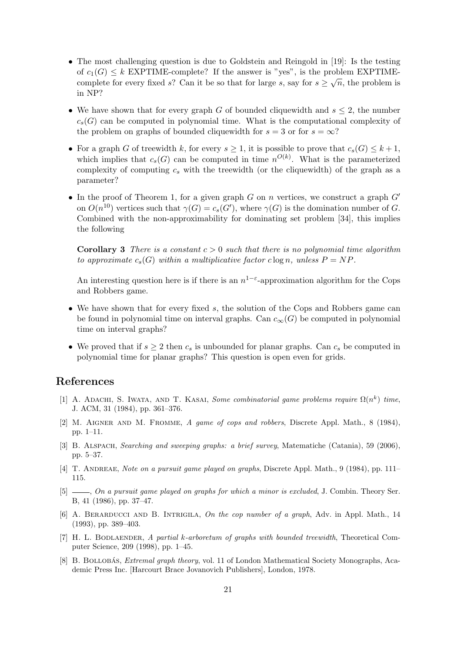- The most challenging question is due to Goldstein and Reingold in [19]: Is the testing of  $c_1(G) \leq k$  EXPTIME-complete? If the answer is "yes", is the problem EXPTIMEcomplete for every fixed s? Can it be so that for large s, say for  $s \geq \sqrt{n}$ , the problem is in NP?
- We have shown that for every graph G of bounded cliquewidth and  $s \leq 2$ , the number  $c_s(G)$  can be computed in polynomial time. What is the computational complexity of the problem on graphs of bounded cliquewidth for  $s = 3$  or for  $s = \infty$ ?
- For a graph G of treewidth k, for every  $s \geq 1$ , it is possible to prove that  $c_s(G) \leq k+1$ , which implies that  $c_s(G)$  can be computed in time  $n^{O(k)}$ . What is the parameterized complexity of computing  $c_s$  with the treewidth (or the cliquewidth) of the graph as a parameter?
- In the proof of Theorem 1, for a given graph G on n vertices, we construct a graph  $G'$ on  $O(n^{10})$  vertices such that  $\gamma(G) = c_s(G')$ , where  $\gamma(G)$  is the domination number of G. Combined with the non-approximability for dominating set problem [34], this implies the following

**Corollary 3** There is a constant  $c > 0$  such that there is no polynomial time algorithm to approximate  $c_s(G)$  within a multiplicative factor c log n, unless  $P = NP$ .

An interesting question here is if there is an  $n^{1-\epsilon}$ -approximation algorithm for the Cops and Robbers game.

- We have shown that for every fixed s, the solution of the Cops and Robbers game can be found in polynomial time on interval graphs. Can  $c_{\infty}(G)$  be computed in polynomial time on interval graphs?
- We proved that if  $s \geq 2$  then  $c_s$  is unbounded for planar graphs. Can  $c_s$  be computed in polynomial time for planar graphs? This question is open even for grids.

## References

- [1] A. ADACHI, S. IWATA, AND T. KASAI, Some combinatorial game problems require  $\Omega(n^k)$  time, J. ACM, 31 (1984), pp. 361–376.
- [2] M. Aigner and M. Fromme, A game of cops and robbers, Discrete Appl. Math., 8 (1984), pp. 1–11.
- [3] B. Alspach, Searching and sweeping graphs: a brief survey, Matematiche (Catania), 59 (2006), pp. 5–37.
- [4] T. ANDREAE, Note on a pursuit game played on graphs, Discrete Appl. Math., 9 (1984), pp. 111– 115.
- [5]  $\qquad \qquad$ , On a pursuit game played on graphs for which a minor is excluded, J. Combin. Theory Ser. B, 41 (1986), pp. 37–47.
- [6] A. BERARDUCCI AND B. INTRIGILA, On the cop number of a graph, Adv. in Appl. Math., 14 (1993), pp. 389–403.
- [7] H. L. BODLAENDER, A partial k-arboretum of graphs with bounded treewidth, Theoretical Computer Science, 209 (1998), pp. 1–45.
- [8] B. BOLLOBÁS, *Extremal graph theory*, vol. 11 of London Mathematical Society Monographs, Academic Press Inc. [Harcourt Brace Jovanovich Publishers], London, 1978.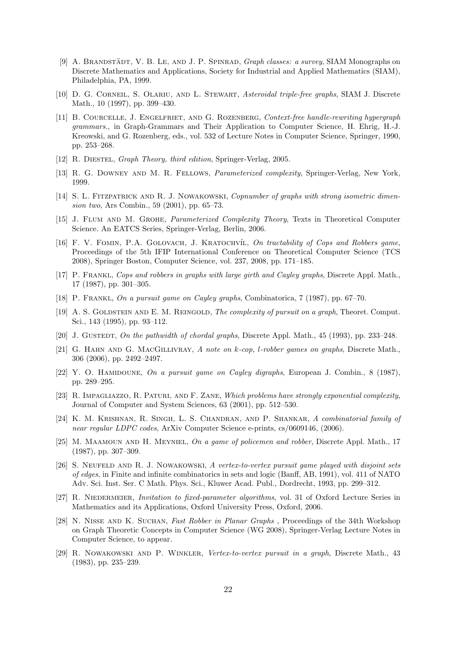- [9] A. BRANDSTÄDT, V. B. LE, AND J. P. SPINRAD, *Graph classes: a survey*, SIAM Monographs on Discrete Mathematics and Applications, Society for Industrial and Applied Mathematics (SIAM), Philadelphia, PA, 1999.
- [10] D. G. CORNEIL, S. OLARIU, AND L. STEWART, Asteroidal triple-free graphs, SIAM J. Discrete Math., 10 (1997), pp. 399–430.
- [11] B. Courcelle, J. Engelfriet, and G. Rozenberg, Context-free handle-rewriting hypergraph grammars., in Graph-Grammars and Their Application to Computer Science, H. Ehrig, H.-J. Kreowski, and G. Rozenberg, eds., vol. 532 of Lecture Notes in Computer Science, Springer, 1990, pp. 253–268.
- [12] R. DIESTEL, *Graph Theory, third edition*, Springer-Verlag, 2005.
- [13] R. G. Downey and M. R. Fellows, Parameterized complexity, Springer-Verlag, New York, 1999.
- [14] S. L. FITZPATRICK AND R. J. NOWAKOWSKI, Copnumber of graphs with strong isometric dimension two, Ars Combin., 59 (2001), pp. 65–73.
- [15] J. Flum and M. Grohe, Parameterized Complexity Theory, Texts in Theoretical Computer Science. An EATCS Series, Springer-Verlag, Berlin, 2006.
- [16] F. V. FOMIN, P.A. GOLOVACH, J. KRATOCHVÍL, On tractability of Cops and Robbers game, Proceedings of the 5th IFIP International Conference on Theoretical Computer Science (TCS 2008), Springer Boston, Computer Science, vol. 237, 2008, pp. 171–185.
- [17] P. Frankl, Cops and robbers in graphs with large girth and Cayley graphs, Discrete Appl. Math., 17 (1987), pp. 301–305.
- [18] P. Frankl, On a pursuit game on Cayley graphs, Combinatorica, 7 (1987), pp. 67–70.
- [19] A. S. GOLDSTEIN AND E. M. REINGOLD, The complexity of pursuit on a graph, Theoret. Comput. Sci., 143 (1995), pp. 93–112.
- [20] J. GUSTEDT, On the pathwidth of chordal graphs, Discrete Appl. Math., 45 (1993), pp. 233–248.
- [21] G. HAHN AND G. MACGILLIVRAY, A note on k-cop, l-robber games on graphs, Discrete Math., 306 (2006), pp. 2492–2497.
- [22] Y. O. HAMIDOUNE, On a pursuit game on Cayley digraphs, European J. Combin., 8 (1987), pp. 289–295.
- [23] R. IMPAGLIAZZO, R. PATURI, AND F. ZANE, Which problems have strongly exponential complexity, Journal of Computer and System Sciences, 63 (2001), pp. 512–530.
- [24] K. M. Krishnan, R. Singh, L. S. Chandran, and P. Shankar, A combinatorial family of near regular LDPC codes, ArXiv Computer Science e-prints, cs/0609146, (2006).
- [25] M. MAAMOUN AND H. MEYNIEL, On a game of policemen and robber, Discrete Appl. Math., 17 (1987), pp. 307–309.
- [26] S. Neuffeld and R. J. Nowakowski, A vertex-to-vertex pursuit game played with disjoint sets of edges, in Finite and infinite combinatorics in sets and logic (Banff, AB, 1991), vol. 411 of NATO Adv. Sci. Inst. Ser. C Math. Phys. Sci., Kluwer Acad. Publ., Dordrecht, 1993, pp. 299–312.
- [27] R. NIEDERMEIER, *Invitation to fixed-parameter algorithms*, vol. 31 of Oxford Lecture Series in Mathematics and its Applications, Oxford University Press, Oxford, 2006.
- [28] N. Nisse and K. Suchan, Fast Robber in Planar Graphs , Proceedings of the 34th Workshop on Graph Theoretic Concepts in Computer Science (WG 2008), Springer-Verlag Lecture Notes in Computer Science, to appear.
- [29] R. Nowakowski and P. Winkler, Vertex-to-vertex pursuit in a graph, Discrete Math., 43 (1983), pp. 235–239.